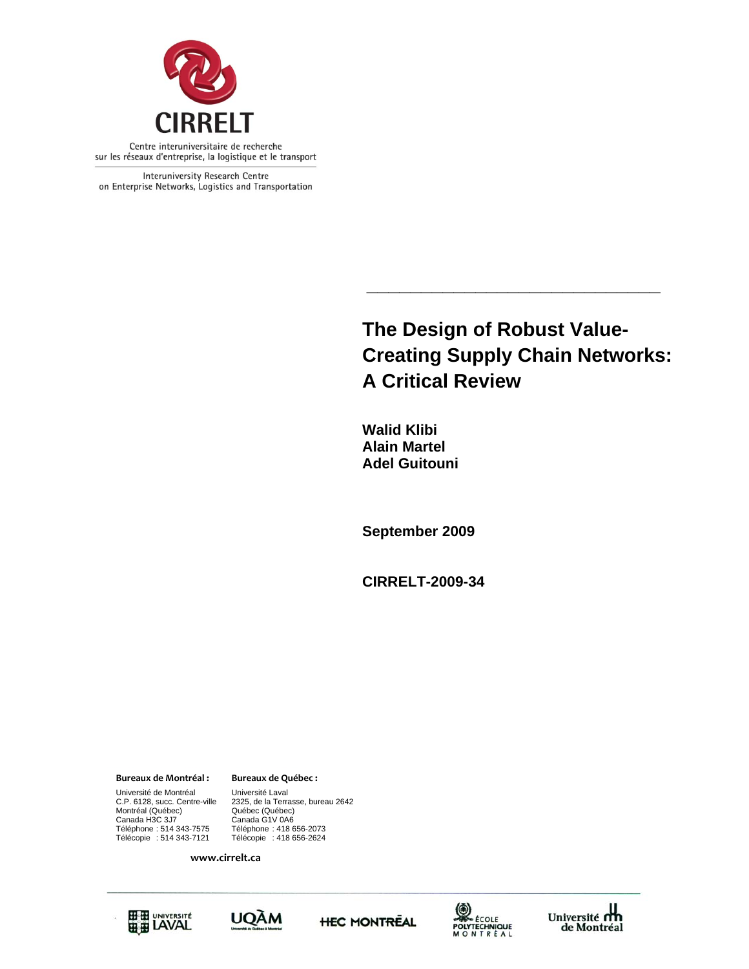

Interuniversity Research Centre on Enterprise Networks, Logistics and Transportation

# **The Design of Robust Value-Creating Supply Chain Networks: A Critical Review**

**\_\_\_\_\_\_\_\_\_\_\_\_\_\_\_\_\_\_\_\_\_\_\_\_\_\_\_** 

**Walid Klibi Alain Martel Adel Guitouni** 

**September 2009** 

**CIRRELT-2009-34** 

**Bureaux de Montréal : Bureaux de Québec :**

Canada H3C 3J7 Canada G1V 0A6 Université de Montréal Université Laval<br>C.P. 6128, succ. Centre-ville 2325, de la Terra Montréal (Québec)<br>Canada H3C 3J7 Téléphone : 514 343-7575 Téléphone : 418 656-2073

C.n.c...<br>2325, de la Terrasse, bureau 2642<br>Québec (Québec) Télécopie : 418 656-2624

**www.cirrelt.ca**









Université **nn** de Montréal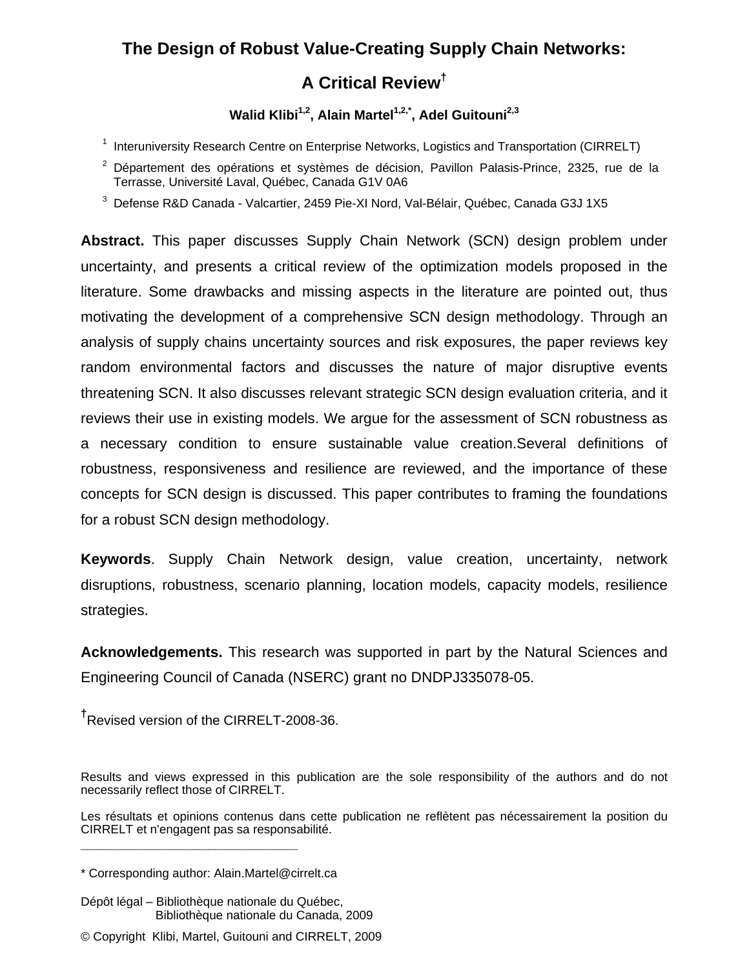### **The Design of Robust Value-Creating Supply Chain Networks:**

### **A Critical Review†**

#### Walid Klibi<sup>1,2</sup>, Alain Martel<sup>1,2,\*</sup>, Adel Guitouni<sup>2,3</sup>

<sup>1</sup> Interuniversity Research Centre on Enterprise Networks, Logistics and Transportation (CIRRELT)

<sup>3</sup> Defense R&D Canada - Valcartier, 2459 Pie-XI Nord, Val-Bélair, Québec, Canada G3J 1X5

**Abstract.** This paper discusses Supply Chain Network (SCN) design problem under uncertainty, and presents a critical review of the optimization models proposed in the literature. Some drawbacks and missing aspects in the literature are pointed out, thus motivating the development of a comprehensive SCN design methodology. Through an analysis of supply chains uncertainty sources and risk exposures, the paper reviews key random environmental factors and discusses the nature of major disruptive events threatening SCN. It also discusses relevant strategic SCN design evaluation criteria, and it reviews their use in existing models. We argue for the assessment of SCN robustness as a necessary condition to ensure sustainable value creation.Several definitions of robustness, responsiveness and resilience are reviewed, and the importance of these concepts for SCN design is discussed. This paper contributes to framing the foundations for a robust SCN design methodology.

**Keywords**. Supply Chain Network design, value creation, uncertainty, network disruptions, robustness, scenario planning, location models, capacity models, resilience strategies.

**Acknowledgements.** This research was supported in part by the Natural Sciences and Engineering Council of Canada (NSERC) grant no DNDPJ335078-05.

**†** Revised version of the CIRRELT-2008-36.

Results and views expressed in this publication are the sole responsibility of the authors and do not necessarily reflect those of CIRRELT.

Les résultats et opinions contenus dans cette publication ne reflètent pas nécessairement la position du CIRRELT et n'engagent pas sa responsabilité. **\_\_\_\_\_\_\_\_\_\_\_\_\_\_\_\_\_\_\_\_\_\_\_\_\_\_\_\_\_**

<sup>2</sup> Département des opérations et systèmes de décision, Pavillon Palasis-Prince, 2325, rue de la Terrasse, Université Laval, Québec, Canada G1V 0A6

<sup>\*</sup> Corresponding author: Alain.Martel@cirrelt.ca

Dépôt légal – Bibliothèque nationale du Québec, Bibliothèque nationale du Canada, 2009

<sup>©</sup> Copyright Klibi, Martel, Guitouni and CIRRELT, 2009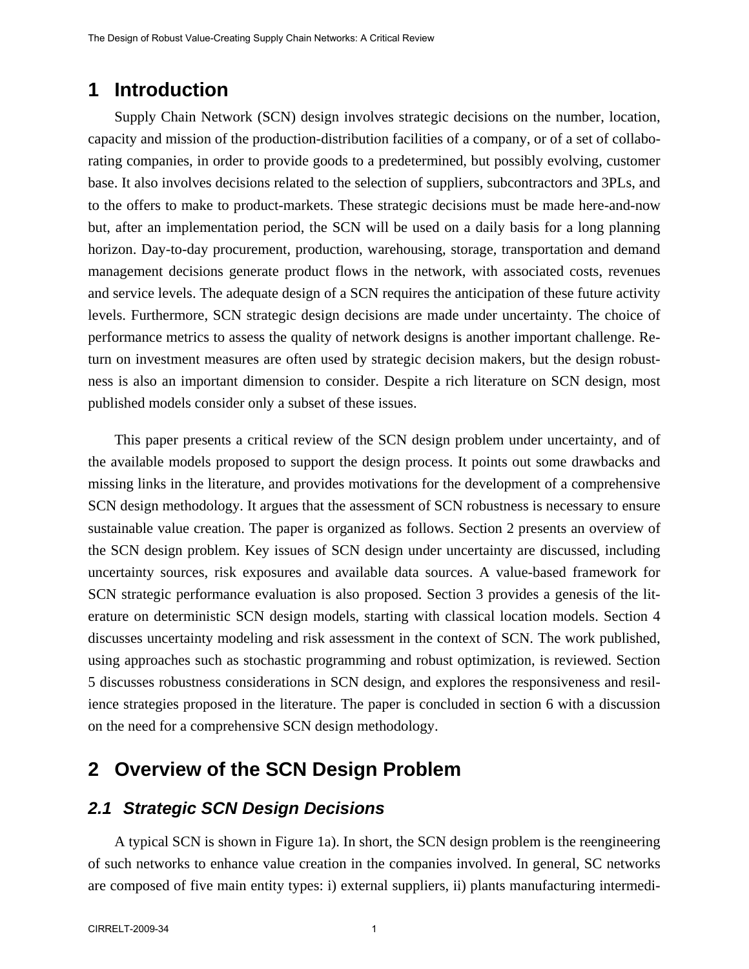## **1 Introduction**

Supply Chain Network (SCN) design involves strategic decisions on the number, location, capacity and mission of the production-distribution facilities of a company, or of a set of collaborating companies, in order to provide goods to a predetermined, but possibly evolving, customer base. It also involves decisions related to the selection of suppliers, subcontractors and 3PLs, and to the offers to make to product-markets. These strategic decisions must be made here-and-now but, after an implementation period, the SCN will be used on a daily basis for a long planning horizon. Day-to-day procurement, production, warehousing, storage, transportation and demand management decisions generate product flows in the network, with associated costs, revenues and service levels. The adequate design of a SCN requires the anticipation of these future activity levels. Furthermore, SCN strategic design decisions are made under uncertainty. The choice of performance metrics to assess the quality of network designs is another important challenge. Return on investment measures are often used by strategic decision makers, but the design robustness is also an important dimension to consider. Despite a rich literature on SCN design, most published models consider only a subset of these issues.

This paper presents a critical review of the SCN design problem under uncertainty, and of the available models proposed to support the design process. It points out some drawbacks and missing links in the literature, and provides motivations for the development of a comprehensive SCN design methodology. It argues that the assessment of SCN robustness is necessary to ensure sustainable value creation. The paper is organized as follows. Section 2 presents an overview of the SCN design problem. Key issues of SCN design under uncertainty are discussed, including uncertainty sources, risk exposures and available data sources. A value-based framework for SCN strategic performance evaluation is also proposed. Section 3 provides a genesis of the literature on deterministic SCN design models, starting with classical location models. Section 4 discusses uncertainty modeling and risk assessment in the context of SCN. The work published, using approaches such as stochastic programming and robust optimization, is reviewed. Section 5 discusses robustness considerations in SCN design, and explores the responsiveness and resilience strategies proposed in the literature. The paper is concluded in section 6 with a discussion on the need for a comprehensive SCN design methodology.

## **2 Overview of the SCN Design Problem**

### *2.1 Strategic SCN Design Decisions*

A typical SCN is shown in Figure 1a). In short, the SCN design problem is the reengineering of such networks to enhance value creation in the companies involved. In general, SC networks are composed of five main entity types: i) external suppliers, ii) plants manufacturing intermedi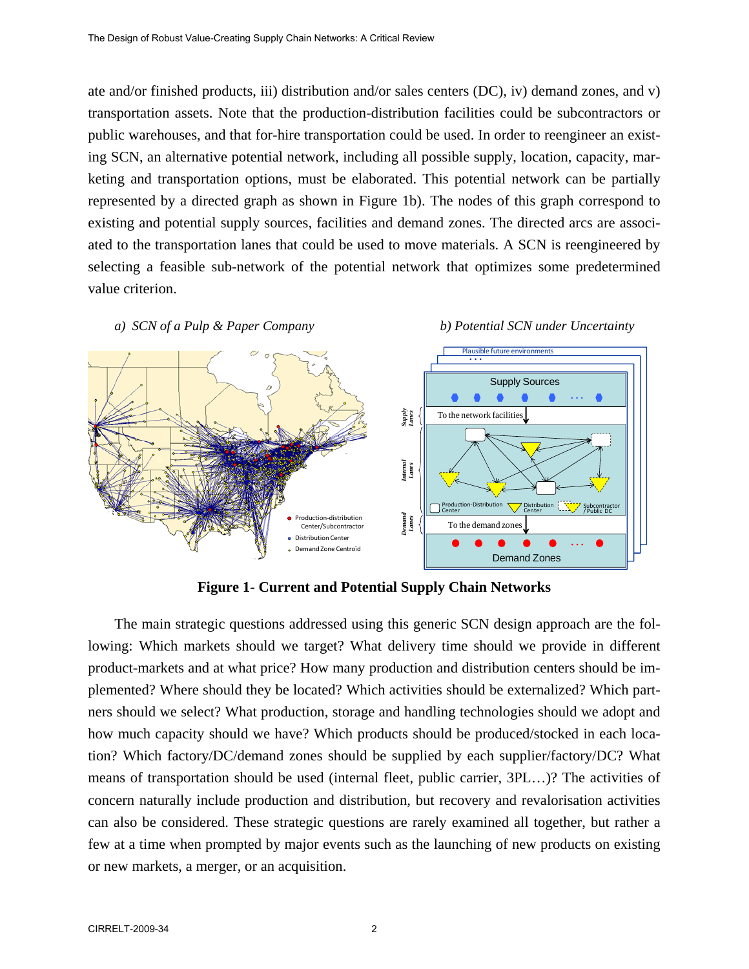ate and/or finished products, iii) distribution and/or sales centers (DC), iv) demand zones, and v) transportation assets. Note that the production-distribution facilities could be subcontractors or public warehouses, and that for-hire transportation could be used. In order to reengineer an existing SCN, an alternative potential network, including all possible supply, location, capacity, marketing and transportation options, must be elaborated. This potential network can be partially represented by a directed graph as shown in Figure 1b). The nodes of this graph correspond to existing and potential supply sources, facilities and demand zones. The directed arcs are associated to the transportation lanes that could be used to move materials. A SCN is reengineered by selecting a feasible sub-network of the potential network that optimizes some predetermined value criterion.







**Figure 1- Current and Potential Supply Chain Networks** 

The main strategic questions addressed using this generic SCN design approach are the following: Which markets should we target? What delivery time should we provide in different product-markets and at what price? How many production and distribution centers should be implemented? Where should they be located? Which activities should be externalized? Which partners should we select? What production, storage and handling technologies should we adopt and how much capacity should we have? Which products should be produced/stocked in each location? Which factory/DC/demand zones should be supplied by each supplier/factory/DC? What means of transportation should be used (internal fleet, public carrier, 3PL…)? The activities of concern naturally include production and distribution, but recovery and revalorisation activities can also be considered. These strategic questions are rarely examined all together, but rather a few at a time when prompted by major events such as the launching of new products on existing or new markets, a merger, or an acquisition.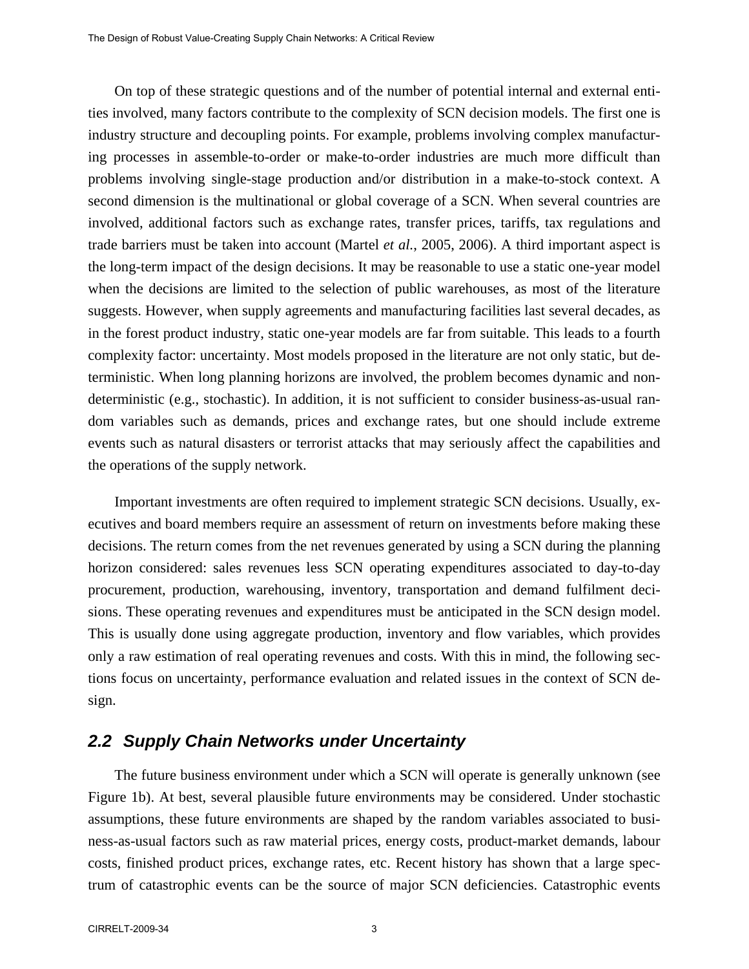On top of these strategic questions and of the number of potential internal and external entities involved, many factors contribute to the complexity of SCN decision models. The first one is industry structure and decoupling points. For example, problems involving complex manufacturing processes in assemble-to-order or make-to-order industries are much more difficult than problems involving single-stage production and/or distribution in a make-to-stock context. A second dimension is the multinational or global coverage of a SCN. When several countries are involved, additional factors such as exchange rates, transfer prices, tariffs, tax regulations and trade barriers must be taken into account (Martel *et al.*, 2005, 2006). A third important aspect is the long-term impact of the design decisions. It may be reasonable to use a static one-year model when the decisions are limited to the selection of public warehouses, as most of the literature suggests. However, when supply agreements and manufacturing facilities last several decades, as in the forest product industry, static one-year models are far from suitable. This leads to a fourth complexity factor: uncertainty. Most models proposed in the literature are not only static, but deterministic. When long planning horizons are involved, the problem becomes dynamic and nondeterministic (e.g., stochastic). In addition, it is not sufficient to consider business-as-usual random variables such as demands, prices and exchange rates, but one should include extreme events such as natural disasters or terrorist attacks that may seriously affect the capabilities and the operations of the supply network.

Important investments are often required to implement strategic SCN decisions. Usually, executives and board members require an assessment of return on investments before making these decisions. The return comes from the net revenues generated by using a SCN during the planning horizon considered: sales revenues less SCN operating expenditures associated to day-to-day procurement, production, warehousing, inventory, transportation and demand fulfilment decisions. These operating revenues and expenditures must be anticipated in the SCN design model. This is usually done using aggregate production, inventory and flow variables, which provides only a raw estimation of real operating revenues and costs. With this in mind, the following sections focus on uncertainty, performance evaluation and related issues in the context of SCN design.

### *2.2 Supply Chain Networks under Uncertainty*

The future business environment under which a SCN will operate is generally unknown (see Figure 1b). At best, several plausible future environments may be considered. Under stochastic assumptions, these future environments are shaped by the random variables associated to business-as-usual factors such as raw material prices, energy costs, product-market demands, labour costs, finished product prices, exchange rates, etc. Recent history has shown that a large spectrum of catastrophic events can be the source of major SCN deficiencies. Catastrophic events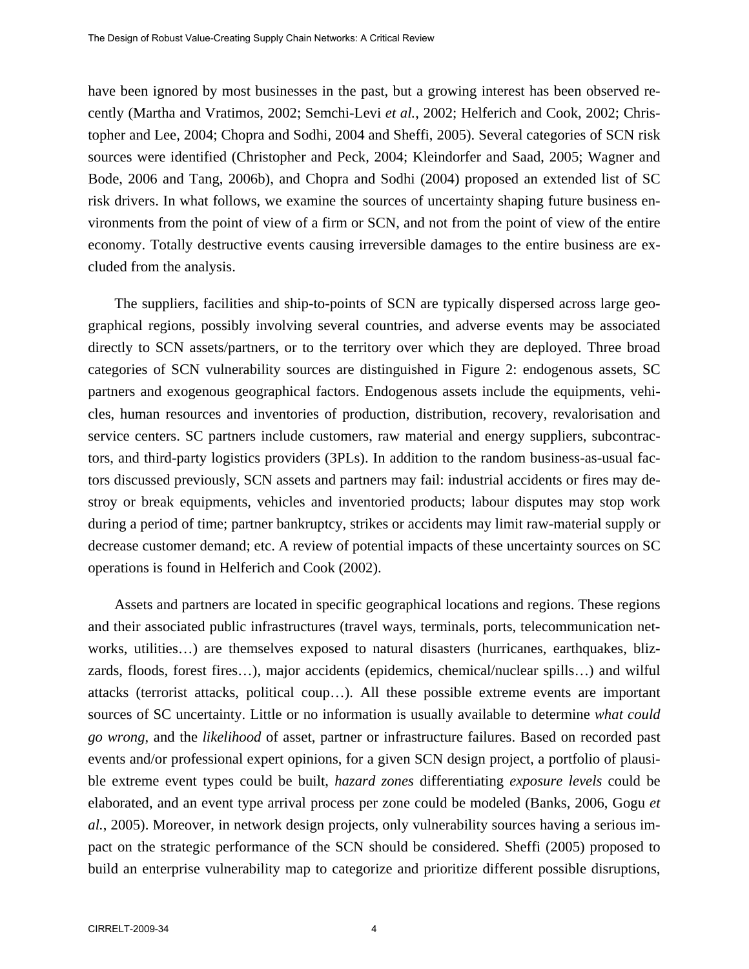have been ignored by most businesses in the past, but a growing interest has been observed recently (Martha and Vratimos, 2002; Semchi-Levi *et al.*, 2002; Helferich and Cook, 2002; Christopher and Lee*,* 2004; Chopra and Sodhi, 2004 and Sheffi, 2005). Several categories of SCN risk sources were identified (Christopher and Peck*,* 2004; Kleindorfer and Saad, 2005; Wagner and Bode, 2006 and Tang, 2006b), and Chopra and Sodhi (2004) proposed an extended list of SC risk drivers. In what follows, we examine the sources of uncertainty shaping future business environments from the point of view of a firm or SCN, and not from the point of view of the entire economy. Totally destructive events causing irreversible damages to the entire business are excluded from the analysis.

The suppliers, facilities and ship-to-points of SCN are typically dispersed across large geographical regions, possibly involving several countries, and adverse events may be associated directly to SCN assets/partners, or to the territory over which they are deployed. Three broad categories of SCN vulnerability sources are distinguished in Figure 2: endogenous assets, SC partners and exogenous geographical factors. Endogenous assets include the equipments, vehicles, human resources and inventories of production, distribution, recovery, revalorisation and service centers. SC partners include customers, raw material and energy suppliers, subcontractors, and third-party logistics providers (3PLs). In addition to the random business-as-usual factors discussed previously, SCN assets and partners may fail: industrial accidents or fires may destroy or break equipments, vehicles and inventoried products; labour disputes may stop work during a period of time; partner bankruptcy, strikes or accidents may limit raw-material supply or decrease customer demand; etc. A review of potential impacts of these uncertainty sources on SC operations is found in Helferich and Cook (2002).

Assets and partners are located in specific geographical locations and regions. These regions and their associated public infrastructures (travel ways, terminals, ports, telecommunication networks, utilities…) are themselves exposed to natural disasters (hurricanes, earthquakes, blizzards, floods, forest fires…), major accidents (epidemics, chemical/nuclear spills…) and wilful attacks (terrorist attacks, political coup…). All these possible extreme events are important sources of SC uncertainty. Little or no information is usually available to determine *what could go wrong*, and the *likelihood* of asset, partner or infrastructure failures. Based on recorded past events and/or professional expert opinions, for a given SCN design project, a portfolio of plausible extreme event types could be built, *hazard zones* differentiating *exposure levels* could be elaborated, and an event type arrival process per zone could be modeled (Banks, 2006, Gogu *et al.*, 2005). Moreover, in network design projects, only vulnerability sources having a serious impact on the strategic performance of the SCN should be considered. Sheffi (2005) proposed to build an enterprise vulnerability map to categorize and prioritize different possible disruptions,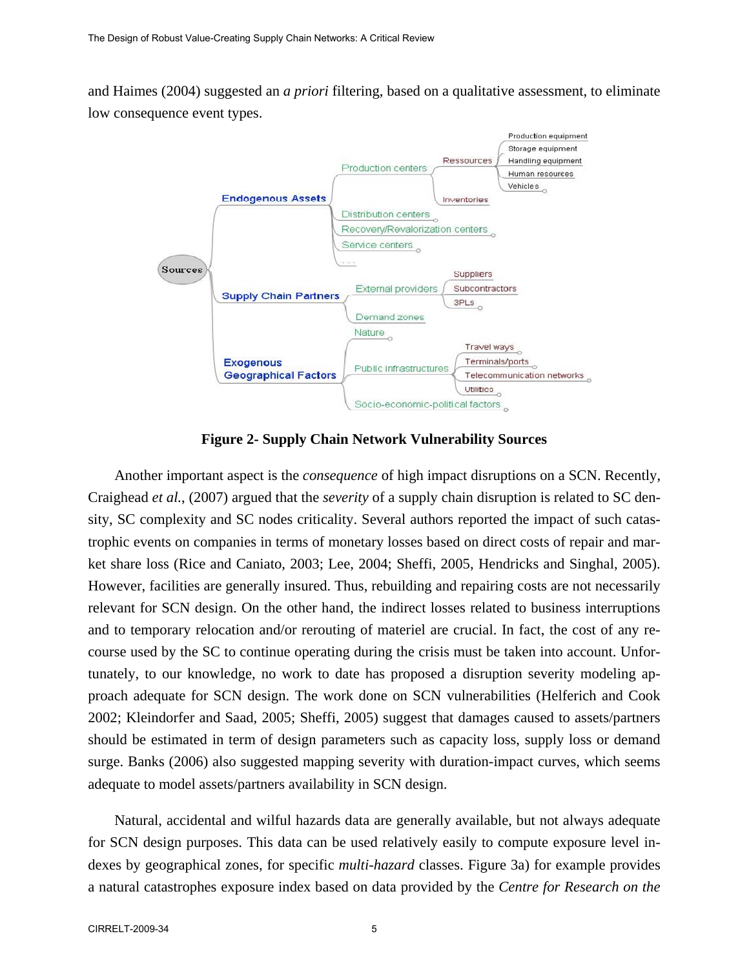and Haimes (2004) suggested an *a priori* filtering, based on a qualitative assessment, to eliminate low consequence event types.



**Figure 2- Supply Chain Network Vulnerability Sources** 

Another important aspect is the *consequence* of high impact disruptions on a SCN. Recently, Craighead *et al.*, (2007) argued that the *severity* of a supply chain disruption is related to SC density, SC complexity and SC nodes criticality. Several authors reported the impact of such catastrophic events on companies in terms of monetary losses based on direct costs of repair and market share loss (Rice and Caniato, 2003; Lee, 2004; Sheffi, 2005, Hendricks and Singhal, 2005). However, facilities are generally insured. Thus, rebuilding and repairing costs are not necessarily relevant for SCN design. On the other hand, the indirect losses related to business interruptions and to temporary relocation and/or rerouting of materiel are crucial. In fact, the cost of any recourse used by the SC to continue operating during the crisis must be taken into account. Unfortunately, to our knowledge, no work to date has proposed a disruption severity modeling approach adequate for SCN design. The work done on SCN vulnerabilities (Helferich and Cook 2002; Kleindorfer and Saad, 2005; Sheffi, 2005) suggest that damages caused to assets/partners should be estimated in term of design parameters such as capacity loss, supply loss or demand surge. Banks (2006) also suggested mapping severity with duration-impact curves, which seems adequate to model assets/partners availability in SCN design.

Natural, accidental and wilful hazards data are generally available, but not always adequate for SCN design purposes. This data can be used relatively easily to compute exposure level indexes by geographical zones, for specific *multi-hazard* classes. Figure 3a) for example provides a natural catastrophes exposure index based on data provided by the *Centre for Research on the*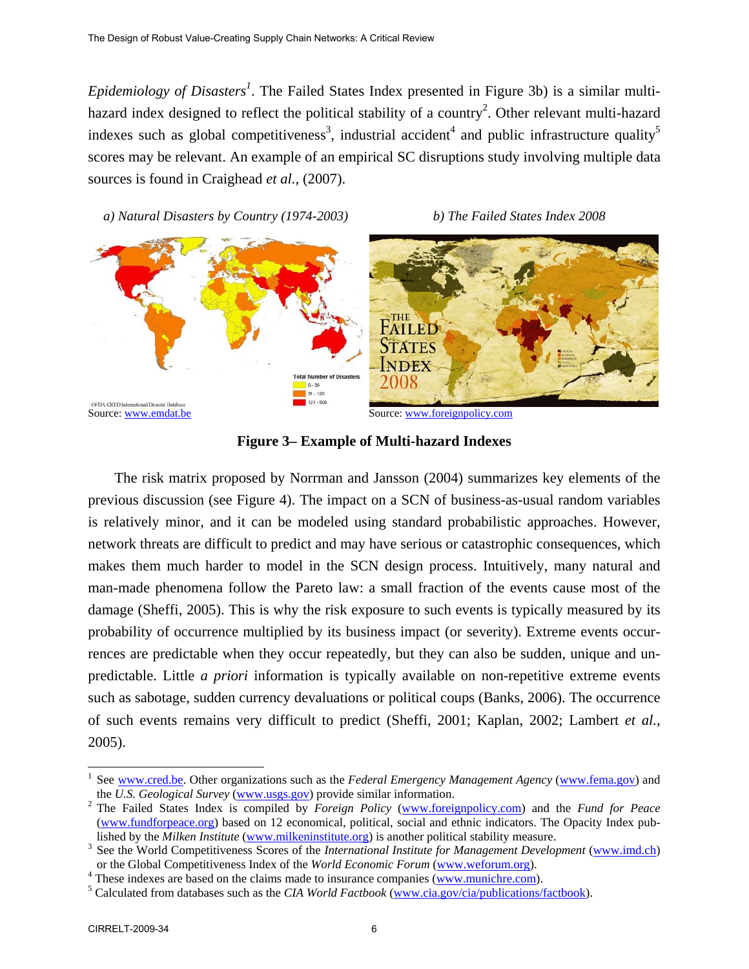*Epidemiology of Disasters<sup>1</sup>*. The Failed States Index presented in Figure 3b) is a similar multihazard index designed to reflect the political stability of a country<sup>2</sup>. Other relevant multi-hazard indexes such as global competitiveness<sup>3</sup>, industrial accident<sup>4</sup> and public infrastructure quality<sup>5</sup> scores may be relevant. An example of an empirical SC disruptions study involving multiple data sources is found in Craighead *et al.*, (2007).

 *a) Natural Disasters by Country (1974-2003) b) The Failed States Index 2008* 



**Figure 3– Example of Multi-hazard Indexes** 

The risk matrix proposed by Norrman and Jansson (2004) summarizes key elements of the previous discussion (see Figure 4). The impact on a SCN of business-as-usual random variables is relatively minor, and it can be modeled using standard probabilistic approaches. However, network threats are difficult to predict and may have serious or catastrophic consequences, which makes them much harder to model in the SCN design process. Intuitively, many natural and man-made phenomena follow the Pareto law: a small fraction of the events cause most of the damage (Sheffi, 2005). This is why the risk exposure to such events is typically measured by its probability of occurrence multiplied by its business impact (or severity). Extreme events occurrences are predictable when they occur repeatedly, but they can also be sudden, unique and unpredictable. Little *a priori* information is typically available on non-repetitive extreme events such as sabotage, sudden currency devaluations or political coups (Banks, 2006). The occurrence of such events remains very difficult to predict (Sheffi, 2001; Kaplan, 2002; Lambert *et al.*, 2005).

 $\overline{a}$ 

<sup>&</sup>lt;sup>1</sup> See www.cred.be. Other organizations such as the *Federal Emergency Management Agency* (www.fema.gov) and

the *U.S. Geological Survey* (www.usgs.gov) provide similar information.<br><sup>2</sup> The Failed States Index is compiled by *Foreign Policy* (www.foreignpolicy.com) and the *Fund for Peace* (www.fundforpeace.org) based on 12 economical, political, social and ethnic indicators. The Opacity Index published by the *Milken Institute* (www.milkeninstitute.org) is another political stability measure.

<sup>&</sup>lt;sup>3</sup> See the World Competitiveness Scores of the *International Institute for Management Development* (www.imd.ch) or the Global Competitiveness Index of the *World Economic Forum* (www.weforum.org). 4

<sup>&</sup>lt;sup>4</sup> These indexes are based on the claims made to insurance companies (www.munichre.com).

<sup>&</sup>lt;sup>5</sup> Calculated from databases such as the *CIA World Factbook* (www.cia.gov/cia/publications/factbook).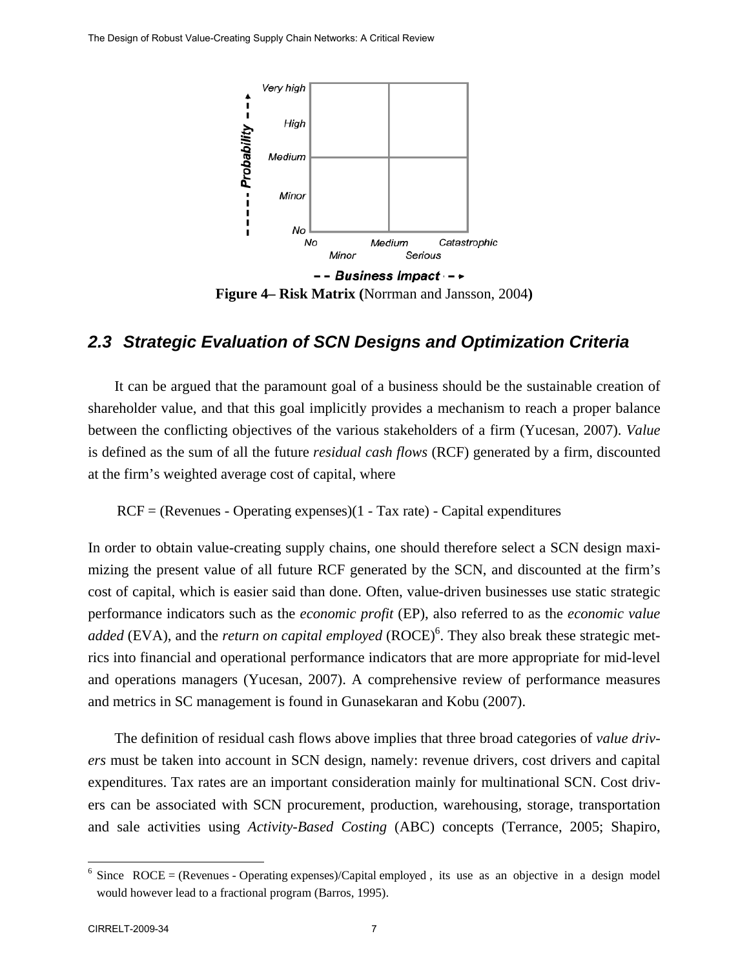

**Figure 4– Risk Matrix (**Norrman and Jansson, 2004**)**

### *2.3 Strategic Evaluation of SCN Designs and Optimization Criteria*

It can be argued that the paramount goal of a business should be the sustainable creation of shareholder value, and that this goal implicitly provides a mechanism to reach a proper balance between the conflicting objectives of the various stakeholders of a firm (Yucesan, 2007). *Value* is defined as the sum of all the future *residual cash flows* (RCF) generated by a firm, discounted at the firm's weighted average cost of capital, where

 $RCF = (Revenues - Operating expenses)(1 - Tax rate) - Capital expenditures$ 

In order to obtain value-creating supply chains, one should therefore select a SCN design maximizing the present value of all future RCF generated by the SCN, and discounted at the firm's cost of capital, which is easier said than done. Often, value-driven businesses use static strategic performance indicators such as the *economic profit* (EP), also referred to as the *economic value added* (EVA), and the *return on capital employed* (ROCE)<sup>6</sup>. They also break these strategic metrics into financial and operational performance indicators that are more appropriate for mid-level and operations managers (Yucesan, 2007). A comprehensive review of performance measures and metrics in SC management is found in Gunasekaran and Kobu (2007).

The definition of residual cash flows above implies that three broad categories of *value drivers* must be taken into account in SCN design, namely: revenue drivers, cost drivers and capital expenditures. Tax rates are an important consideration mainly for multinational SCN. Cost drivers can be associated with SCN procurement, production, warehousing, storage, transportation and sale activities using *Activity-Based Costing* (ABC) concepts (Terrance, 2005; Shapiro,

l

<sup>&</sup>lt;sup>6</sup> Since ROCE = (Revenues - Operating expenses)/Capital employed, its use as an objective in a design model would however lead to a fractional program (Barros, 1995).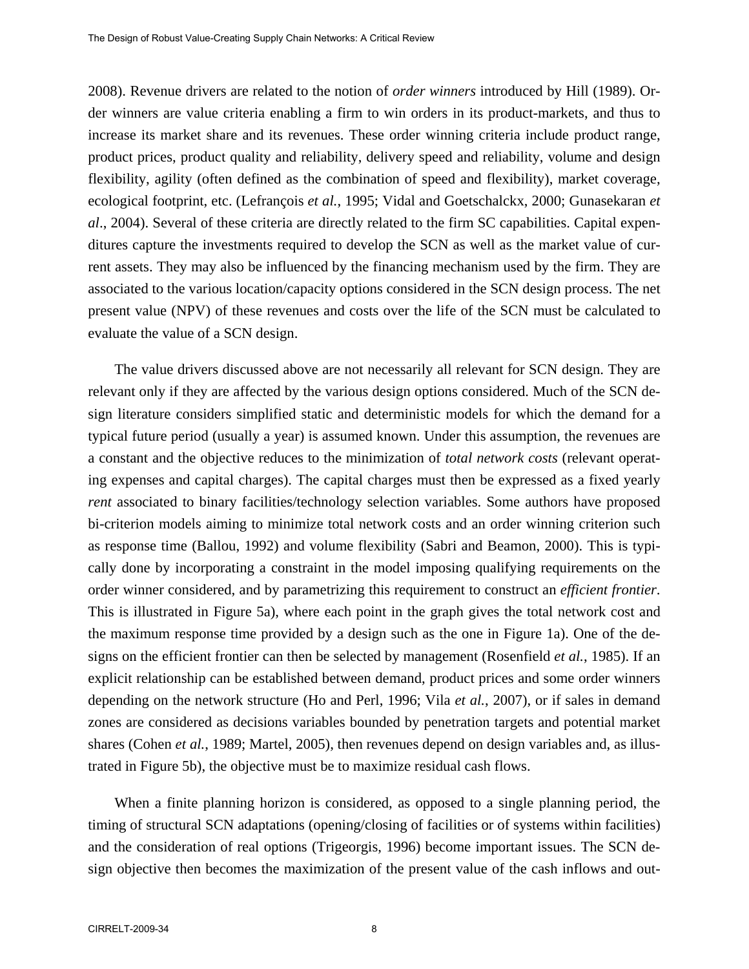The Design of Robust Value-Creating Supply Chain Networks: A Critical Review

2008). Revenue drivers are related to the notion of *order winners* introduced by Hill (1989). Order winners are value criteria enabling a firm to win orders in its product-markets, and thus to increase its market share and its revenues. These order winning criteria include product range, product prices, product quality and reliability, delivery speed and reliability, volume and design flexibility, agility (often defined as the combination of speed and flexibility), market coverage, ecological footprint, etc. (Lefrançois *et al.*, 1995; Vidal and Goetschalckx, 2000; Gunasekaran *et al*., 2004). Several of these criteria are directly related to the firm SC capabilities. Capital expenditures capture the investments required to develop the SCN as well as the market value of current assets. They may also be influenced by the financing mechanism used by the firm. They are associated to the various location/capacity options considered in the SCN design process. The net present value (NPV) of these revenues and costs over the life of the SCN must be calculated to evaluate the value of a SCN design.

The value drivers discussed above are not necessarily all relevant for SCN design. They are relevant only if they are affected by the various design options considered. Much of the SCN design literature considers simplified static and deterministic models for which the demand for a typical future period (usually a year) is assumed known. Under this assumption, the revenues are a constant and the objective reduces to the minimization of *total network costs* (relevant operating expenses and capital charges). The capital charges must then be expressed as a fixed yearly *rent* associated to binary facilities/technology selection variables. Some authors have proposed bi-criterion models aiming to minimize total network costs and an order winning criterion such as response time (Ballou, 1992) and volume flexibility (Sabri and Beamon, 2000). This is typically done by incorporating a constraint in the model imposing qualifying requirements on the order winner considered, and by parametrizing this requirement to construct an *efficient frontier*. This is illustrated in Figure 5a), where each point in the graph gives the total network cost and the maximum response time provided by a design such as the one in Figure 1a). One of the designs on the efficient frontier can then be selected by management (Rosenfield *et al.*, 1985). If an explicit relationship can be established between demand, product prices and some order winners depending on the network structure (Ho and Perl, 1996; Vila *et al.*, 2007), or if sales in demand zones are considered as decisions variables bounded by penetration targets and potential market shares (Cohen *et al.*, 1989; Martel, 2005), then revenues depend on design variables and, as illustrated in Figure 5b), the objective must be to maximize residual cash flows.

When a finite planning horizon is considered, as opposed to a single planning period, the timing of structural SCN adaptations (opening/closing of facilities or of systems within facilities) and the consideration of real options (Trigeorgis, 1996) become important issues. The SCN design objective then becomes the maximization of the present value of the cash inflows and out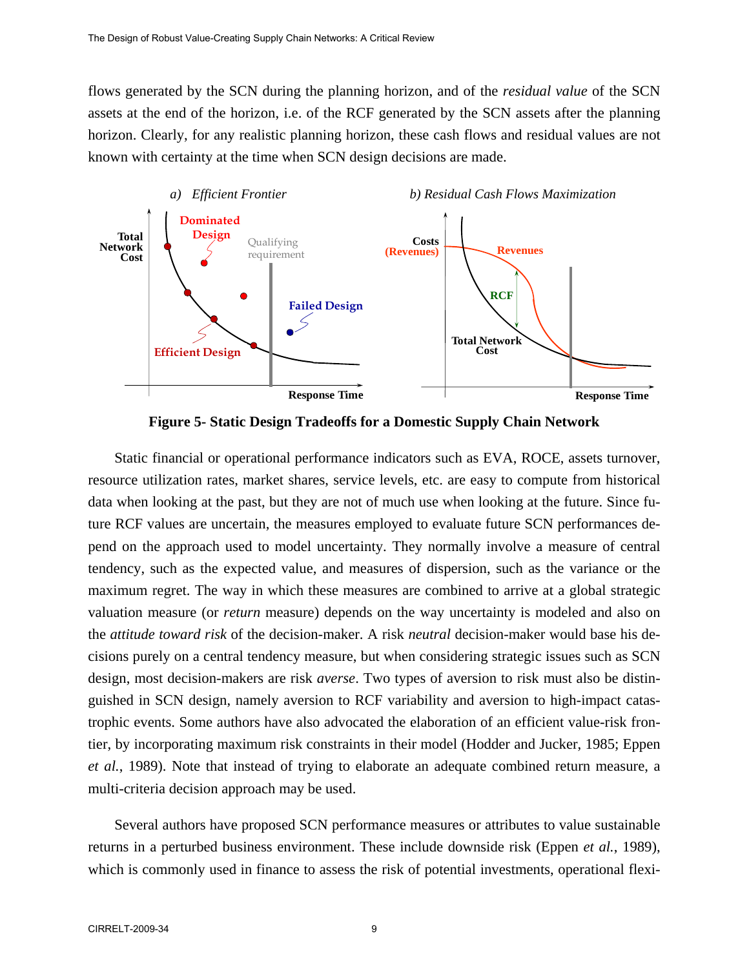flows generated by the SCN during the planning horizon, and of the *residual value* of the SCN assets at the end of the horizon, i.e. of the RCF generated by the SCN assets after the planning horizon. Clearly, for any realistic planning horizon, these cash flows and residual values are not known with certainty at the time when SCN design decisions are made.



**Figure 5- Static Design Tradeoffs for a Domestic Supply Chain Network** 

Static financial or operational performance indicators such as EVA, ROCE, assets turnover, resource utilization rates, market shares, service levels, etc. are easy to compute from historical data when looking at the past, but they are not of much use when looking at the future. Since future RCF values are uncertain, the measures employed to evaluate future SCN performances depend on the approach used to model uncertainty. They normally involve a measure of central tendency, such as the expected value, and measures of dispersion, such as the variance or the maximum regret. The way in which these measures are combined to arrive at a global strategic valuation measure (or *return* measure) depends on the way uncertainty is modeled and also on the *attitude toward risk* of the decision-maker. A risk *neutral* decision-maker would base his decisions purely on a central tendency measure, but when considering strategic issues such as SCN design, most decision-makers are risk *averse*. Two types of aversion to risk must also be distinguished in SCN design, namely aversion to RCF variability and aversion to high-impact catastrophic events. Some authors have also advocated the elaboration of an efficient value-risk frontier, by incorporating maximum risk constraints in their model (Hodder and Jucker, 1985; Eppen *et al.*, 1989). Note that instead of trying to elaborate an adequate combined return measure, a multi-criteria decision approach may be used.

Several authors have proposed SCN performance measures or attributes to value sustainable returns in a perturbed business environment. These include downside risk (Eppen *et al.*, 1989), which is commonly used in finance to assess the risk of potential investments, operational flexi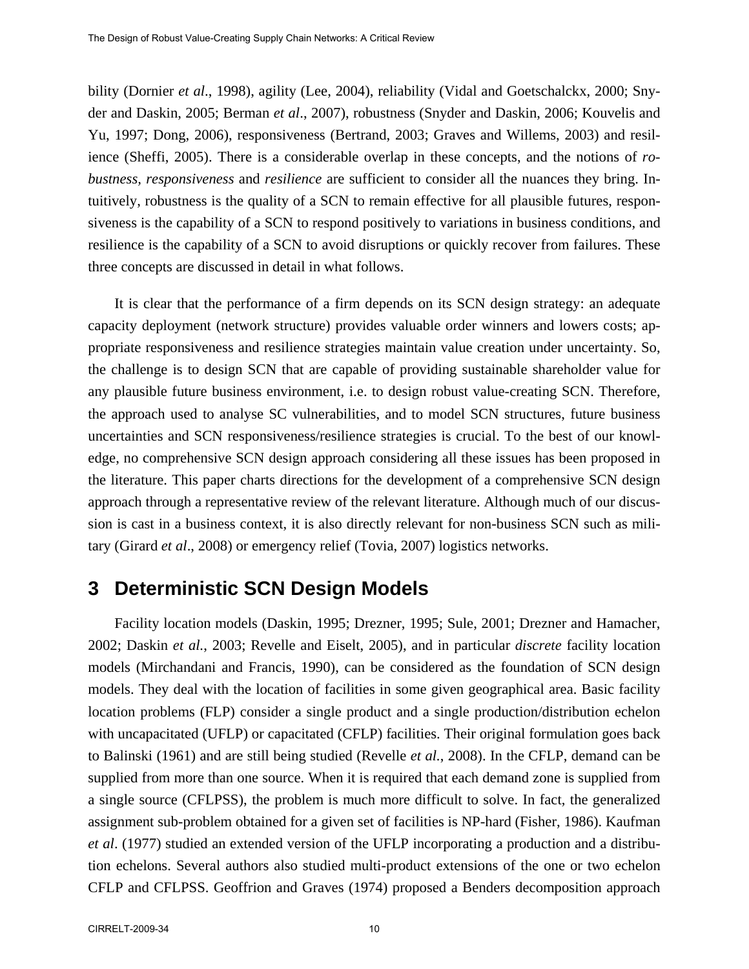bility (Dornier *et al*., 1998), agility (Lee, 2004), reliability (Vidal and Goetschalckx, 2000; Snyder and Daskin, 2005; Berman *et al*., 2007), robustness (Snyder and Daskin, 2006; Kouvelis and Yu, 1997; Dong, 2006), responsiveness (Bertrand, 2003; Graves and Willems, 2003) and resilience (Sheffi, 2005). There is a considerable overlap in these concepts, and the notions of *robustness, responsiveness* and *resilience* are sufficient to consider all the nuances they bring. Intuitively, robustness is the quality of a SCN to remain effective for all plausible futures, responsiveness is the capability of a SCN to respond positively to variations in business conditions, and resilience is the capability of a SCN to avoid disruptions or quickly recover from failures. These three concepts are discussed in detail in what follows.

It is clear that the performance of a firm depends on its SCN design strategy: an adequate capacity deployment (network structure) provides valuable order winners and lowers costs; appropriate responsiveness and resilience strategies maintain value creation under uncertainty. So, the challenge is to design SCN that are capable of providing sustainable shareholder value for any plausible future business environment, i.e. to design robust value-creating SCN. Therefore, the approach used to analyse SC vulnerabilities, and to model SCN structures, future business uncertainties and SCN responsiveness/resilience strategies is crucial. To the best of our knowledge, no comprehensive SCN design approach considering all these issues has been proposed in the literature. This paper charts directions for the development of a comprehensive SCN design approach through a representative review of the relevant literature. Although much of our discussion is cast in a business context, it is also directly relevant for non-business SCN such as military (Girard *et al*., 2008) or emergency relief (Tovia, 2007) logistics networks.

## **3 Deterministic SCN Design Models**

Facility location models (Daskin, 1995; Drezner, 1995; Sule, 2001; Drezner and Hamacher, 2002; Daskin *et al.*, 2003; Revelle and Eiselt, 2005), and in particular *discrete* facility location models (Mirchandani and Francis, 1990), can be considered as the foundation of SCN design models. They deal with the location of facilities in some given geographical area. Basic facility location problems (FLP) consider a single product and a single production/distribution echelon with uncapacitated (UFLP) or capacitated (CFLP) facilities. Their original formulation goes back to Balinski (1961) and are still being studied (Revelle *et al.*, 2008). In the CFLP, demand can be supplied from more than one source. When it is required that each demand zone is supplied from a single source (CFLPSS), the problem is much more difficult to solve. In fact, the generalized assignment sub-problem obtained for a given set of facilities is NP-hard (Fisher, 1986). Kaufman *et al*. (1977) studied an extended version of the UFLP incorporating a production and a distribution echelons. Several authors also studied multi-product extensions of the one or two echelon CFLP and CFLPSS. Geoffrion and Graves (1974) proposed a Benders decomposition approach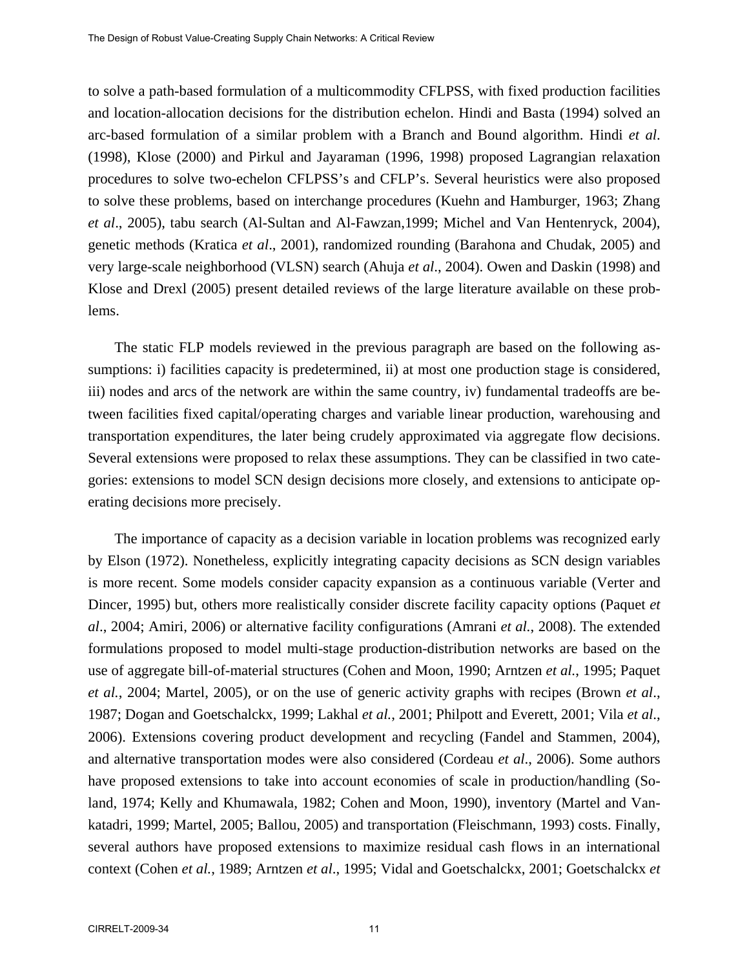to solve a path-based formulation of a multicommodity CFLPSS, with fixed production facilities and location-allocation decisions for the distribution echelon. Hindi and Basta (1994) solved an arc-based formulation of a similar problem with a Branch and Bound algorithm. Hindi *et al*. (1998), Klose (2000) and Pirkul and Jayaraman (1996, 1998) proposed Lagrangian relaxation procedures to solve two-echelon CFLPSS's and CFLP's. Several heuristics were also proposed to solve these problems, based on interchange procedures (Kuehn and Hamburger, 1963; Zhang *et al*., 2005), tabu search (Al-Sultan and Al-Fawzan,1999; Michel and Van Hentenryck, 2004), genetic methods (Kratica *et al*., 2001), randomized rounding (Barahona and Chudak, 2005) and very large-scale neighborhood (VLSN) search (Ahuja *et al*., 2004). Owen and Daskin (1998) and Klose and Drexl (2005) present detailed reviews of the large literature available on these problems.

The static FLP models reviewed in the previous paragraph are based on the following assumptions: i) facilities capacity is predetermined, ii) at most one production stage is considered, iii) nodes and arcs of the network are within the same country, iv) fundamental tradeoffs are between facilities fixed capital/operating charges and variable linear production, warehousing and transportation expenditures, the later being crudely approximated via aggregate flow decisions. Several extensions were proposed to relax these assumptions. They can be classified in two categories: extensions to model SCN design decisions more closely, and extensions to anticipate operating decisions more precisely.

The importance of capacity as a decision variable in location problems was recognized early by Elson (1972). Nonetheless, explicitly integrating capacity decisions as SCN design variables is more recent. Some models consider capacity expansion as a continuous variable (Verter and Dincer, 1995) but, others more realistically consider discrete facility capacity options (Paquet *et al*., 2004; Amiri, 2006) or alternative facility configurations (Amrani *et al.*, 2008). The extended formulations proposed to model multi-stage production-distribution networks are based on the use of aggregate bill-of-material structures (Cohen and Moon, 1990; Arntzen *et al.*, 1995; Paquet *et al.*, 2004; Martel, 2005), or on the use of generic activity graphs with recipes (Brown *et al*., 1987; Dogan and Goetschalckx, 1999; Lakhal *et al.*, 2001; Philpott and Everett, 2001; Vila *et al*., 2006). Extensions covering product development and recycling (Fandel and Stammen, 2004), and alternative transportation modes were also considered (Cordeau *et al*., 2006). Some authors have proposed extensions to take into account economies of scale in production/handling (Soland, 1974; Kelly and Khumawala, 1982; Cohen and Moon, 1990), inventory (Martel and Vankatadri, 1999; Martel, 2005; Ballou, 2005) and transportation (Fleischmann, 1993) costs. Finally, several authors have proposed extensions to maximize residual cash flows in an international context (Cohen *et al.*, 1989; Arntzen *et al*., 1995; Vidal and Goetschalckx, 2001; Goetschalckx *et*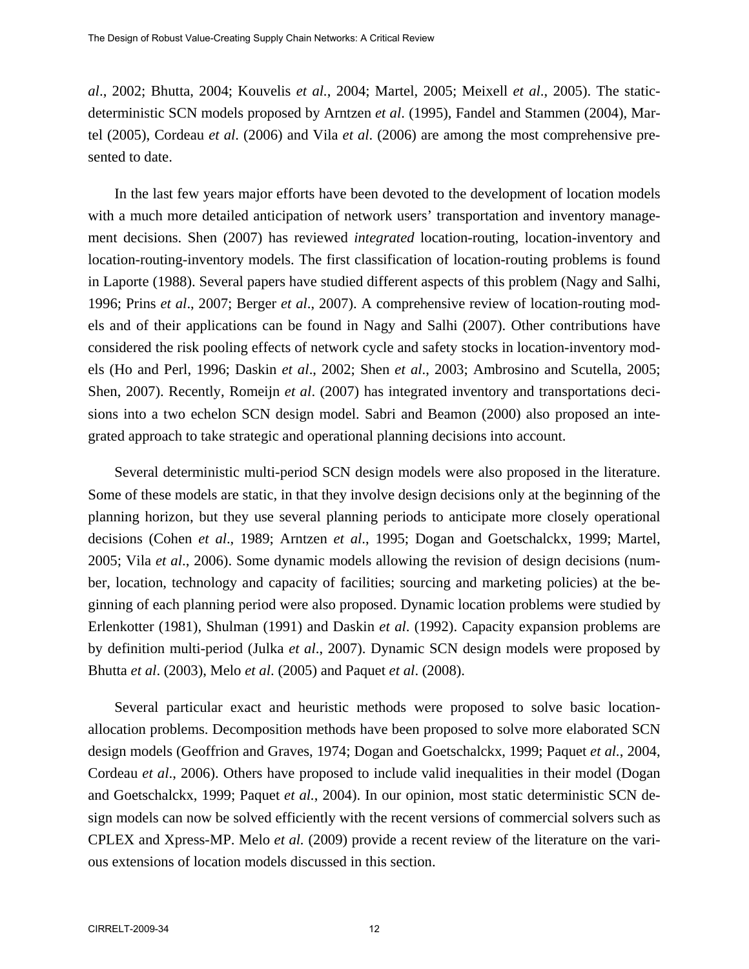*al*., 2002; Bhutta, 2004; Kouvelis *et al.*, 2004; Martel, 2005; Meixell *et al*., 2005). The staticdeterministic SCN models proposed by Arntzen *et al*. (1995), Fandel and Stammen (2004), Martel (2005), Cordeau *et al*. (2006) and Vila *et al*. (2006) are among the most comprehensive presented to date.

In the last few years major efforts have been devoted to the development of location models with a much more detailed anticipation of network users' transportation and inventory management decisions. Shen (2007) has reviewed *integrated* location-routing, location-inventory and location-routing-inventory models. The first classification of location-routing problems is found in Laporte (1988). Several papers have studied different aspects of this problem (Nagy and Salhi, 1996; Prins *et al*., 2007; Berger *et al*., 2007). A comprehensive review of location-routing models and of their applications can be found in Nagy and Salhi (2007). Other contributions have considered the risk pooling effects of network cycle and safety stocks in location-inventory models (Ho and Perl, 1996; Daskin *et al*., 2002; Shen *et al*., 2003; Ambrosino and Scutella, 2005; Shen, 2007). Recently, Romeijn *et al*. (2007) has integrated inventory and transportations decisions into a two echelon SCN design model. Sabri and Beamon (2000) also proposed an integrated approach to take strategic and operational planning decisions into account.

Several deterministic multi-period SCN design models were also proposed in the literature. Some of these models are static, in that they involve design decisions only at the beginning of the planning horizon, but they use several planning periods to anticipate more closely operational decisions (Cohen *et al*., 1989; Arntzen *et al*., 1995; Dogan and Goetschalckx, 1999; Martel, 2005; Vila *et al*., 2006). Some dynamic models allowing the revision of design decisions (number, location, technology and capacity of facilities; sourcing and marketing policies) at the beginning of each planning period were also proposed. Dynamic location problems were studied by Erlenkotter (1981), Shulman (1991) and Daskin *et al*. (1992). Capacity expansion problems are by definition multi-period (Julka *et al*., 2007). Dynamic SCN design models were proposed by Bhutta *et al*. (2003), Melo *et al*. (2005) and Paquet *et al*. (2008).

Several particular exact and heuristic methods were proposed to solve basic locationallocation problems. Decomposition methods have been proposed to solve more elaborated SCN design models (Geoffrion and Graves, 1974; Dogan and Goetschalckx, 1999; Paquet *et al.*, 2004, Cordeau *et al*., 2006). Others have proposed to include valid inequalities in their model (Dogan and Goetschalckx, 1999; Paquet *et al.*, 2004). In our opinion, most static deterministic SCN design models can now be solved efficiently with the recent versions of commercial solvers such as CPLEX and Xpress-MP. Melo *et al.* (2009) provide a recent review of the literature on the various extensions of location models discussed in this section.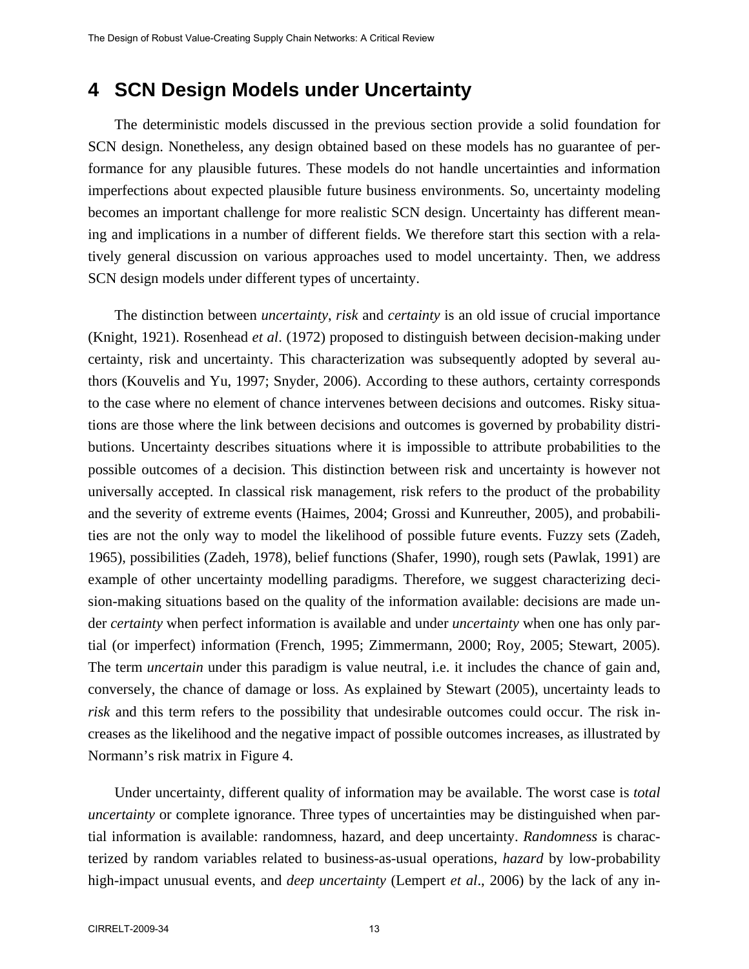### **4 SCN Design Models under Uncertainty**

The deterministic models discussed in the previous section provide a solid foundation for SCN design. Nonetheless, any design obtained based on these models has no guarantee of performance for any plausible futures. These models do not handle uncertainties and information imperfections about expected plausible future business environments. So, uncertainty modeling becomes an important challenge for more realistic SCN design. Uncertainty has different meaning and implications in a number of different fields. We therefore start this section with a relatively general discussion on various approaches used to model uncertainty. Then, we address SCN design models under different types of uncertainty.

The distinction between *uncertainty*, *risk* and *certainty* is an old issue of crucial importance (Knight, 1921). Rosenhead *et al*. (1972) proposed to distinguish between decision-making under certainty, risk and uncertainty. This characterization was subsequently adopted by several authors (Kouvelis and Yu, 1997; Snyder, 2006). According to these authors, certainty corresponds to the case where no element of chance intervenes between decisions and outcomes. Risky situations are those where the link between decisions and outcomes is governed by probability distributions. Uncertainty describes situations where it is impossible to attribute probabilities to the possible outcomes of a decision. This distinction between risk and uncertainty is however not universally accepted. In classical risk management, risk refers to the product of the probability and the severity of extreme events (Haimes, 2004; Grossi and Kunreuther, 2005), and probabilities are not the only way to model the likelihood of possible future events. Fuzzy sets (Zadeh, 1965), possibilities (Zadeh, 1978), belief functions (Shafer, 1990), rough sets (Pawlak, 1991) are example of other uncertainty modelling paradigms. Therefore, we suggest characterizing decision-making situations based on the quality of the information available: decisions are made under *certainty* when perfect information is available and under *uncertainty* when one has only partial (or imperfect) information (French, 1995; Zimmermann, 2000; Roy, 2005; Stewart, 2005). The term *uncertain* under this paradigm is value neutral, i.e. it includes the chance of gain and, conversely, the chance of damage or loss. As explained by Stewart (2005), uncertainty leads to *risk* and this term refers to the possibility that undesirable outcomes could occur. The risk increases as the likelihood and the negative impact of possible outcomes increases, as illustrated by Normann's risk matrix in Figure 4.

Under uncertainty, different quality of information may be available. The worst case is *total uncertainty* or complete ignorance. Three types of uncertainties may be distinguished when partial information is available: randomness, hazard, and deep uncertainty. *Randomness* is characterized by random variables related to business-as-usual operations, *hazard* by low-probability high-impact unusual events, and *deep uncertainty* (Lempert *et al*., 2006) by the lack of any in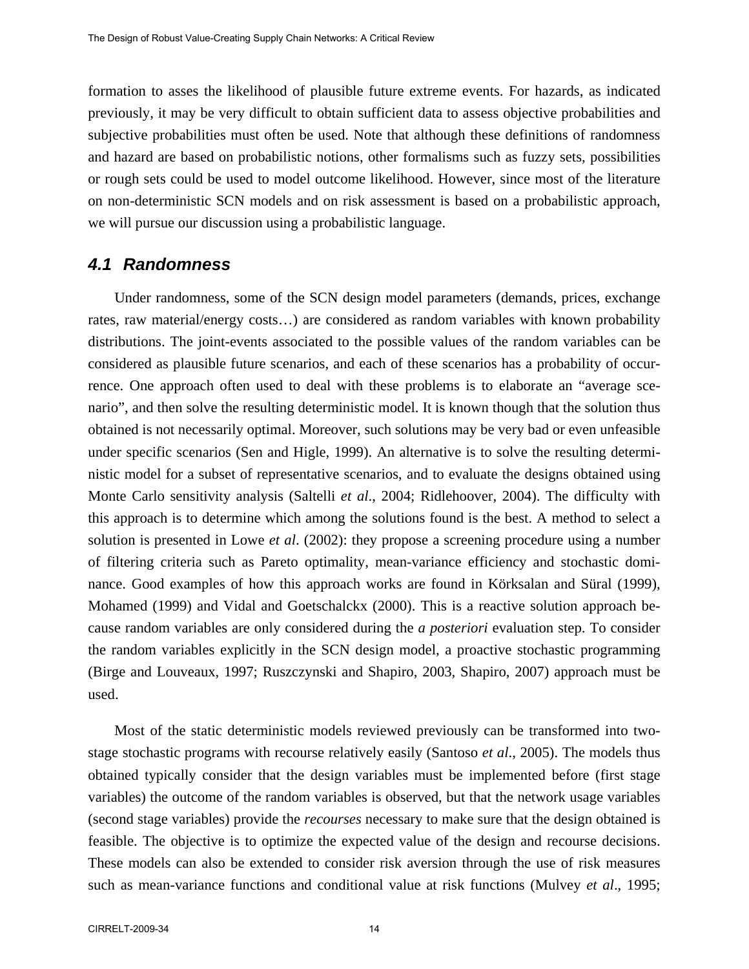formation to asses the likelihood of plausible future extreme events. For hazards, as indicated previously, it may be very difficult to obtain sufficient data to assess objective probabilities and subjective probabilities must often be used. Note that although these definitions of randomness and hazard are based on probabilistic notions, other formalisms such as fuzzy sets, possibilities or rough sets could be used to model outcome likelihood. However, since most of the literature on non-deterministic SCN models and on risk assessment is based on a probabilistic approach, we will pursue our discussion using a probabilistic language.

#### *4.1 Randomness*

Under randomness, some of the SCN design model parameters (demands, prices, exchange rates, raw material/energy costs…) are considered as random variables with known probability distributions. The joint-events associated to the possible values of the random variables can be considered as plausible future scenarios, and each of these scenarios has a probability of occurrence. One approach often used to deal with these problems is to elaborate an "average scenario", and then solve the resulting deterministic model. It is known though that the solution thus obtained is not necessarily optimal. Moreover, such solutions may be very bad or even unfeasible under specific scenarios (Sen and Higle, 1999). An alternative is to solve the resulting deterministic model for a subset of representative scenarios, and to evaluate the designs obtained using Monte Carlo sensitivity analysis (Saltelli *et al*., 2004; Ridlehoover, 2004). The difficulty with this approach is to determine which among the solutions found is the best. A method to select a solution is presented in Lowe *et al*. (2002): they propose a screening procedure using a number of filtering criteria such as Pareto optimality, mean-variance efficiency and stochastic dominance. Good examples of how this approach works are found in Körksalan and Süral (1999), Mohamed (1999) and Vidal and Goetschalckx (2000). This is a reactive solution approach because random variables are only considered during the *a posteriori* evaluation step. To consider the random variables explicitly in the SCN design model, a proactive stochastic programming (Birge and Louveaux, 1997; Ruszczynski and Shapiro, 2003, Shapiro, 2007) approach must be used.

Most of the static deterministic models reviewed previously can be transformed into twostage stochastic programs with recourse relatively easily (Santoso *et al*., 2005). The models thus obtained typically consider that the design variables must be implemented before (first stage variables) the outcome of the random variables is observed, but that the network usage variables (second stage variables) provide the *recourses* necessary to make sure that the design obtained is feasible. The objective is to optimize the expected value of the design and recourse decisions. These models can also be extended to consider risk aversion through the use of risk measures such as mean-variance functions and conditional value at risk functions (Mulvey *et al*., 1995;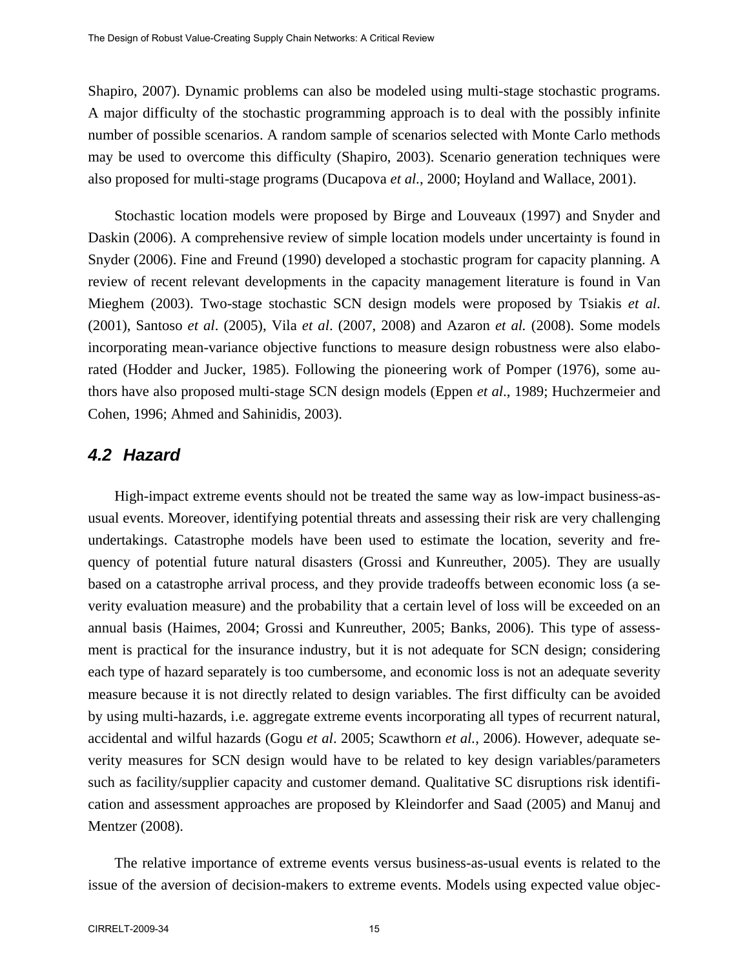Shapiro, 2007). Dynamic problems can also be modeled using multi-stage stochastic programs. A major difficulty of the stochastic programming approach is to deal with the possibly infinite number of possible scenarios. A random sample of scenarios selected with Monte Carlo methods may be used to overcome this difficulty (Shapiro, 2003). Scenario generation techniques were also proposed for multi-stage programs (Ducapova *et al.*, 2000; Hoyland and Wallace, 2001).

Stochastic location models were proposed by Birge and Louveaux (1997) and Snyder and Daskin (2006). A comprehensive review of simple location models under uncertainty is found in Snyder (2006). Fine and Freund (1990) developed a stochastic program for capacity planning. A review of recent relevant developments in the capacity management literature is found in Van Mieghem (2003). Two-stage stochastic SCN design models were proposed by Tsiakis *et al*. (2001), Santoso *et al*. (2005), Vila *et al*. (2007, 2008) and Azaron *et al.* (2008). Some models incorporating mean-variance objective functions to measure design robustness were also elaborated (Hodder and Jucker, 1985). Following the pioneering work of Pomper (1976), some authors have also proposed multi-stage SCN design models (Eppen *et al*., 1989; Huchzermeier and Cohen, 1996; Ahmed and Sahinidis, 2003).

### *4.2 Hazard*

High-impact extreme events should not be treated the same way as low-impact business-asusual events. Moreover, identifying potential threats and assessing their risk are very challenging undertakings. Catastrophe models have been used to estimate the location, severity and frequency of potential future natural disasters (Grossi and Kunreuther, 2005). They are usually based on a catastrophe arrival process, and they provide tradeoffs between economic loss (a severity evaluation measure) and the probability that a certain level of loss will be exceeded on an annual basis (Haimes, 2004; Grossi and Kunreuther, 2005; Banks, 2006). This type of assessment is practical for the insurance industry, but it is not adequate for SCN design; considering each type of hazard separately is too cumbersome, and economic loss is not an adequate severity measure because it is not directly related to design variables. The first difficulty can be avoided by using multi-hazards, i.e. aggregate extreme events incorporating all types of recurrent natural, accidental and wilful hazards (Gogu *et al*. 2005; Scawthorn *et al.*, 2006). However, adequate severity measures for SCN design would have to be related to key design variables/parameters such as facility/supplier capacity and customer demand. Qualitative SC disruptions risk identification and assessment approaches are proposed by Kleindorfer and Saad (2005) and Manuj and Mentzer (2008).

The relative importance of extreme events versus business-as-usual events is related to the issue of the aversion of decision-makers to extreme events. Models using expected value objec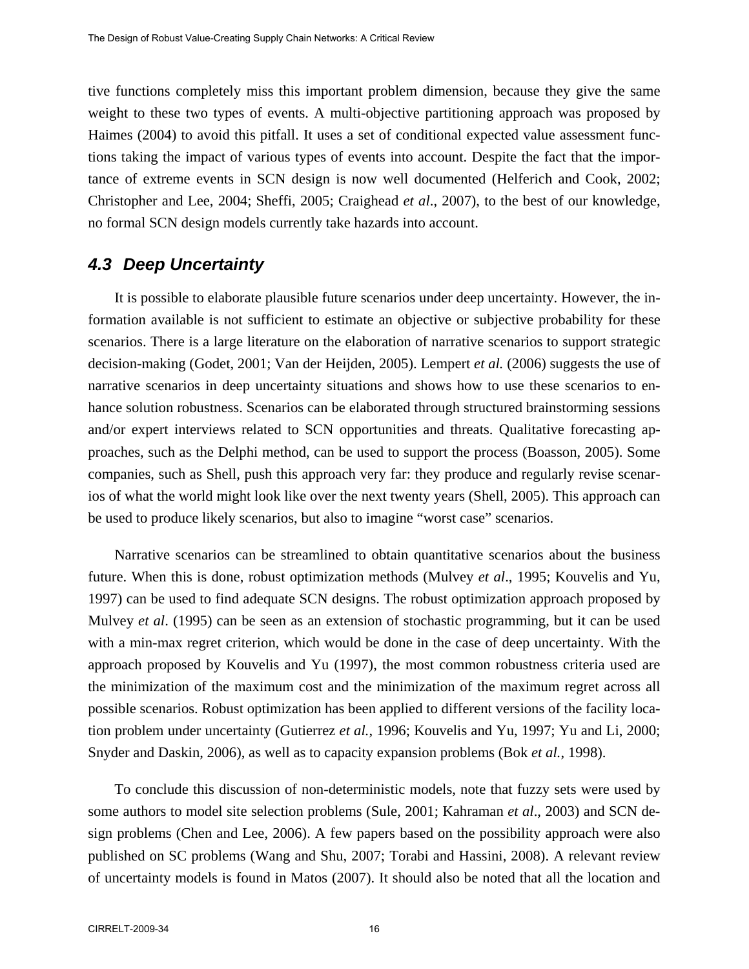tive functions completely miss this important problem dimension, because they give the same weight to these two types of events. A multi-objective partitioning approach was proposed by Haimes (2004) to avoid this pitfall. It uses a set of conditional expected value assessment functions taking the impact of various types of events into account. Despite the fact that the importance of extreme events in SCN design is now well documented (Helferich and Cook, 2002; Christopher and Lee, 2004; Sheffi, 2005; Craighead *et al*., 2007), to the best of our knowledge, no formal SCN design models currently take hazards into account.

### *4.3 Deep Uncertainty*

It is possible to elaborate plausible future scenarios under deep uncertainty. However, the information available is not sufficient to estimate an objective or subjective probability for these scenarios. There is a large literature on the elaboration of narrative scenarios to support strategic decision-making (Godet, 2001; Van der Heijden, 2005). Lempert *et al.* (2006) suggests the use of narrative scenarios in deep uncertainty situations and shows how to use these scenarios to enhance solution robustness. Scenarios can be elaborated through structured brainstorming sessions and/or expert interviews related to SCN opportunities and threats. Qualitative forecasting approaches, such as the Delphi method, can be used to support the process (Boasson, 2005). Some companies, such as Shell, push this approach very far: they produce and regularly revise scenarios of what the world might look like over the next twenty years (Shell, 2005). This approach can be used to produce likely scenarios, but also to imagine "worst case" scenarios.

Narrative scenarios can be streamlined to obtain quantitative scenarios about the business future. When this is done, robust optimization methods (Mulvey *et al*., 1995; Kouvelis and Yu, 1997) can be used to find adequate SCN designs. The robust optimization approach proposed by Mulvey *et al*. (1995) can be seen as an extension of stochastic programming, but it can be used with a min-max regret criterion, which would be done in the case of deep uncertainty. With the approach proposed by Kouvelis and Yu (1997), the most common robustness criteria used are the minimization of the maximum cost and the minimization of the maximum regret across all possible scenarios. Robust optimization has been applied to different versions of the facility location problem under uncertainty (Gutierrez *et al.*, 1996; Kouvelis and Yu, 1997; Yu and Li, 2000; Snyder and Daskin, 2006), as well as to capacity expansion problems (Bok *et al.*, 1998).

To conclude this discussion of non-deterministic models, note that fuzzy sets were used by some authors to model site selection problems (Sule, 2001; Kahraman *et al*., 2003) and SCN design problems (Chen and Lee, 2006). A few papers based on the possibility approach were also published on SC problems (Wang and Shu, 2007; Torabi and Hassini, 2008). A relevant review of uncertainty models is found in Matos (2007). It should also be noted that all the location and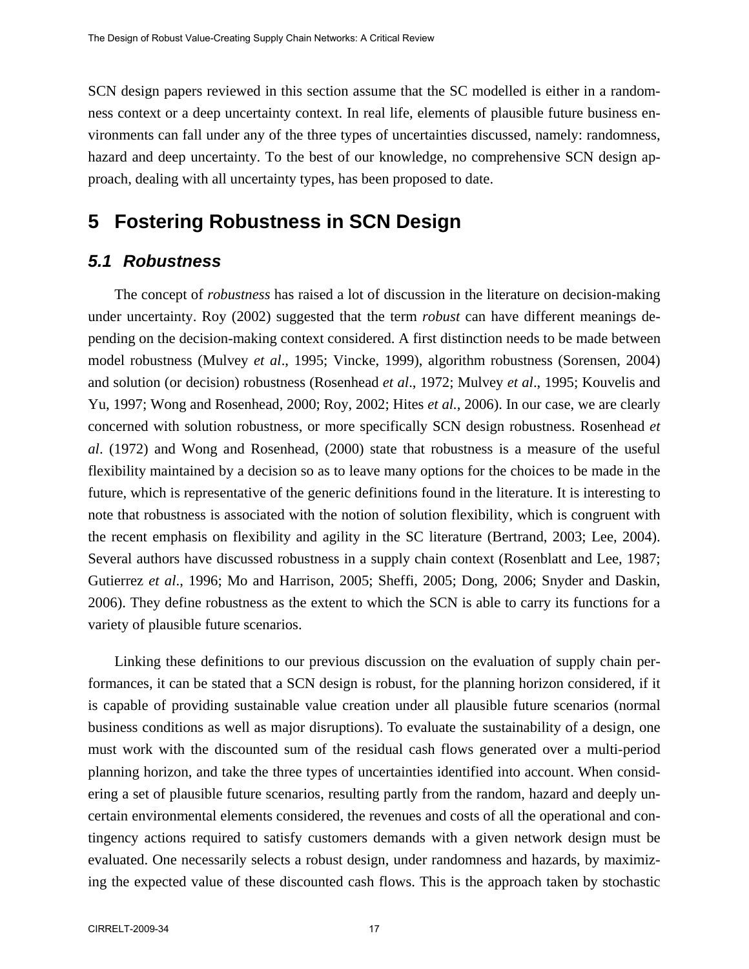SCN design papers reviewed in this section assume that the SC modelled is either in a randomness context or a deep uncertainty context. In real life, elements of plausible future business environments can fall under any of the three types of uncertainties discussed, namely: randomness, hazard and deep uncertainty. To the best of our knowledge, no comprehensive SCN design approach, dealing with all uncertainty types, has been proposed to date.

## **5 Fostering Robustness in SCN Design**

### *5.1 Robustness*

The concept of *robustness* has raised a lot of discussion in the literature on decision-making under uncertainty. Roy (2002) suggested that the term *robust* can have different meanings depending on the decision-making context considered. A first distinction needs to be made between model robustness (Mulvey *et al*., 1995; Vincke, 1999), algorithm robustness (Sorensen, 2004) and solution (or decision) robustness (Rosenhead *et al*., 1972; Mulvey *et al*., 1995; Kouvelis and Yu, 1997; Wong and Rosenhead, 2000; Roy, 2002; Hites *et al.*, 2006). In our case, we are clearly concerned with solution robustness, or more specifically SCN design robustness. Rosenhead *et al*. (1972) and Wong and Rosenhead, (2000) state that robustness is a measure of the useful flexibility maintained by a decision so as to leave many options for the choices to be made in the future, which is representative of the generic definitions found in the literature. It is interesting to note that robustness is associated with the notion of solution flexibility, which is congruent with the recent emphasis on flexibility and agility in the SC literature (Bertrand, 2003; Lee, 2004). Several authors have discussed robustness in a supply chain context (Rosenblatt and Lee, 1987; Gutierrez *et al*., 1996; Mo and Harrison, 2005; Sheffi, 2005; Dong, 2006; Snyder and Daskin, 2006). They define robustness as the extent to which the SCN is able to carry its functions for a variety of plausible future scenarios.

Linking these definitions to our previous discussion on the evaluation of supply chain performances, it can be stated that a SCN design is robust, for the planning horizon considered, if it is capable of providing sustainable value creation under all plausible future scenarios (normal business conditions as well as major disruptions). To evaluate the sustainability of a design, one must work with the discounted sum of the residual cash flows generated over a multi-period planning horizon, and take the three types of uncertainties identified into account. When considering a set of plausible future scenarios, resulting partly from the random, hazard and deeply uncertain environmental elements considered, the revenues and costs of all the operational and contingency actions required to satisfy customers demands with a given network design must be evaluated. One necessarily selects a robust design, under randomness and hazards, by maximizing the expected value of these discounted cash flows. This is the approach taken by stochastic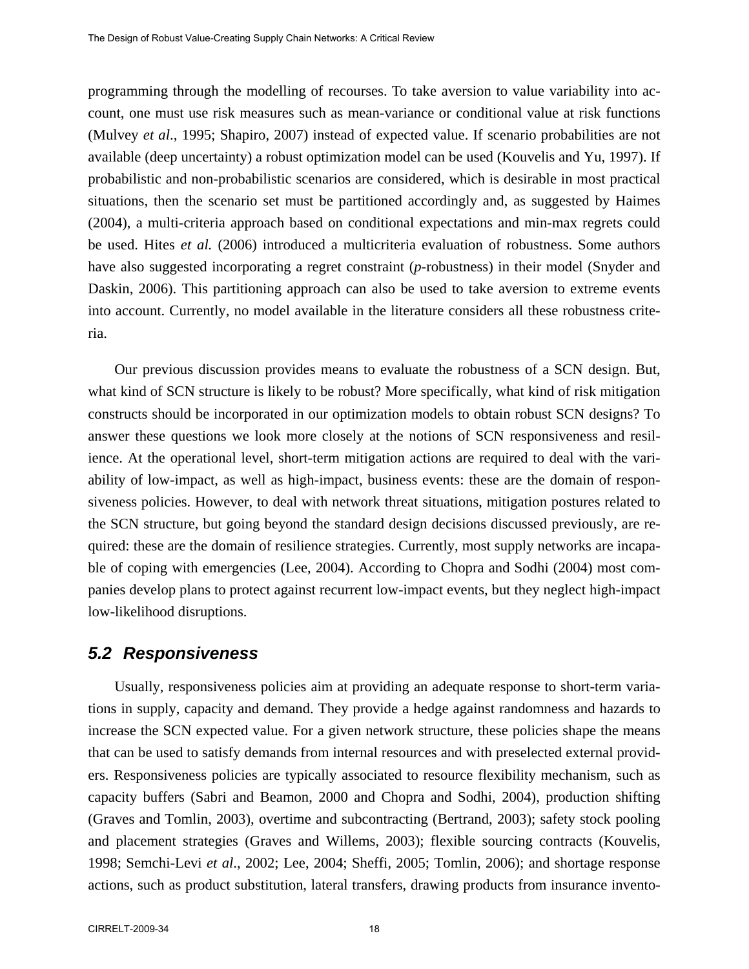programming through the modelling of recourses. To take aversion to value variability into account, one must use risk measures such as mean-variance or conditional value at risk functions (Mulvey *et al*., 1995; Shapiro, 2007) instead of expected value. If scenario probabilities are not available (deep uncertainty) a robust optimization model can be used (Kouvelis and Yu, 1997). If probabilistic and non-probabilistic scenarios are considered, which is desirable in most practical situations, then the scenario set must be partitioned accordingly and, as suggested by Haimes (2004), a multi-criteria approach based on conditional expectations and min-max regrets could be used. Hites *et al.* (2006) introduced a multicriteria evaluation of robustness. Some authors have also suggested incorporating a regret constraint (*p*-robustness) in their model (Snyder and Daskin, 2006). This partitioning approach can also be used to take aversion to extreme events into account. Currently, no model available in the literature considers all these robustness criteria.

Our previous discussion provides means to evaluate the robustness of a SCN design. But, what kind of SCN structure is likely to be robust? More specifically, what kind of risk mitigation constructs should be incorporated in our optimization models to obtain robust SCN designs? To answer these questions we look more closely at the notions of SCN responsiveness and resilience. At the operational level, short-term mitigation actions are required to deal with the variability of low-impact, as well as high-impact, business events: these are the domain of responsiveness policies. However, to deal with network threat situations, mitigation postures related to the SCN structure, but going beyond the standard design decisions discussed previously, are required: these are the domain of resilience strategies. Currently, most supply networks are incapable of coping with emergencies (Lee, 2004). According to Chopra and Sodhi (2004) most companies develop plans to protect against recurrent low-impact events, but they neglect high-impact low-likelihood disruptions.

#### *5.2 Responsiveness*

Usually, responsiveness policies aim at providing an adequate response to short-term variations in supply, capacity and demand. They provide a hedge against randomness and hazards to increase the SCN expected value. For a given network structure, these policies shape the means that can be used to satisfy demands from internal resources and with preselected external providers. Responsiveness policies are typically associated to resource flexibility mechanism, such as capacity buffers (Sabri and Beamon, 2000 and Chopra and Sodhi, 2004), production shifting (Graves and Tomlin, 2003), overtime and subcontracting (Bertrand, 2003); safety stock pooling and placement strategies (Graves and Willems, 2003); flexible sourcing contracts (Kouvelis, 1998; Semchi-Levi *et al*., 2002; Lee, 2004; Sheffi, 2005; Tomlin, 2006); and shortage response actions, such as product substitution, lateral transfers, drawing products from insurance invento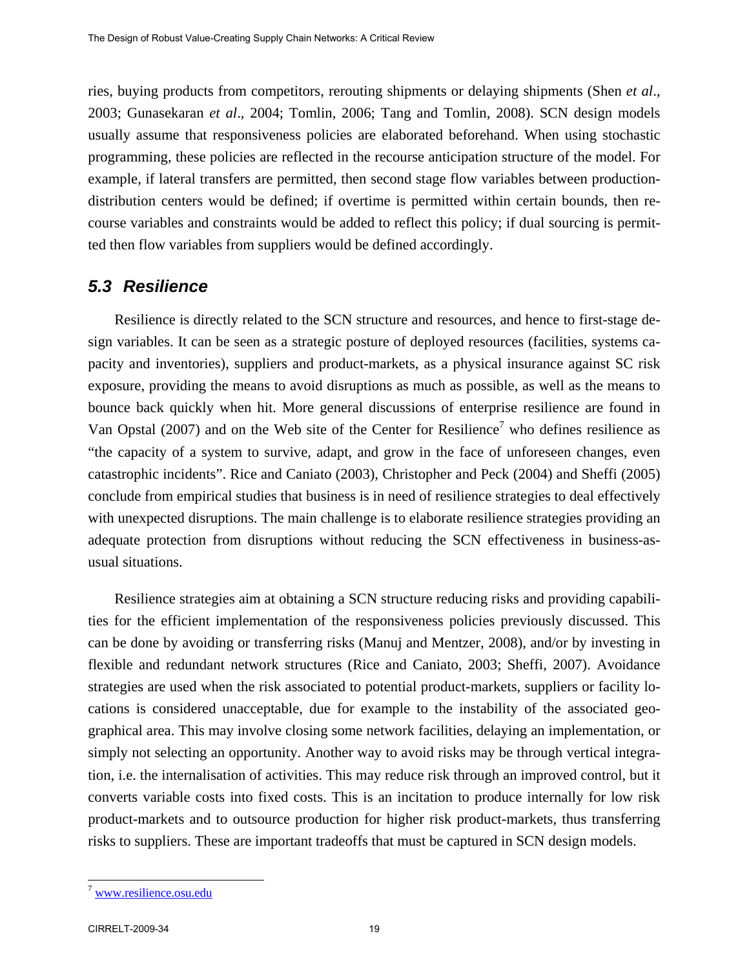ries, buying products from competitors, rerouting shipments or delaying shipments (Shen *et al*., 2003; Gunasekaran *et al*., 2004; Tomlin, 2006; Tang and Tomlin, 2008). SCN design models usually assume that responsiveness policies are elaborated beforehand. When using stochastic programming, these policies are reflected in the recourse anticipation structure of the model. For example, if lateral transfers are permitted, then second stage flow variables between productiondistribution centers would be defined; if overtime is permitted within certain bounds, then recourse variables and constraints would be added to reflect this policy; if dual sourcing is permitted then flow variables from suppliers would be defined accordingly.

#### *5.3 Resilience*

Resilience is directly related to the SCN structure and resources, and hence to first-stage design variables. It can be seen as a strategic posture of deployed resources (facilities, systems capacity and inventories), suppliers and product-markets, as a physical insurance against SC risk exposure, providing the means to avoid disruptions as much as possible, as well as the means to bounce back quickly when hit. More general discussions of enterprise resilience are found in Van Opstal (2007) and on the Web site of the Center for Resilience<sup>7</sup> who defines resilience as "the capacity of a system to survive, adapt, and grow in the face of unforeseen changes, even catastrophic incidents". Rice and Caniato (2003), Christopher and Peck (2004) and Sheffi (2005) conclude from empirical studies that business is in need of resilience strategies to deal effectively with unexpected disruptions. The main challenge is to elaborate resilience strategies providing an adequate protection from disruptions without reducing the SCN effectiveness in business-asusual situations.

Resilience strategies aim at obtaining a SCN structure reducing risks and providing capabilities for the efficient implementation of the responsiveness policies previously discussed. This can be done by avoiding or transferring risks (Manuj and Mentzer, 2008), and/or by investing in flexible and redundant network structures (Rice and Caniato, 2003; Sheffi, 2007). Avoidance strategies are used when the risk associated to potential product-markets, suppliers or facility locations is considered unacceptable, due for example to the instability of the associated geographical area. This may involve closing some network facilities, delaying an implementation, or simply not selecting an opportunity. Another way to avoid risks may be through vertical integration, i.e. the internalisation of activities. This may reduce risk through an improved control, but it converts variable costs into fixed costs. This is an incitation to produce internally for low risk product-markets and to outsource production for higher risk product-markets, thus transferring risks to suppliers. These are important tradeoffs that must be captured in SCN design models.

 $\overline{\phantom{a}}$ 

<sup>7</sup> www.resilience.osu.edu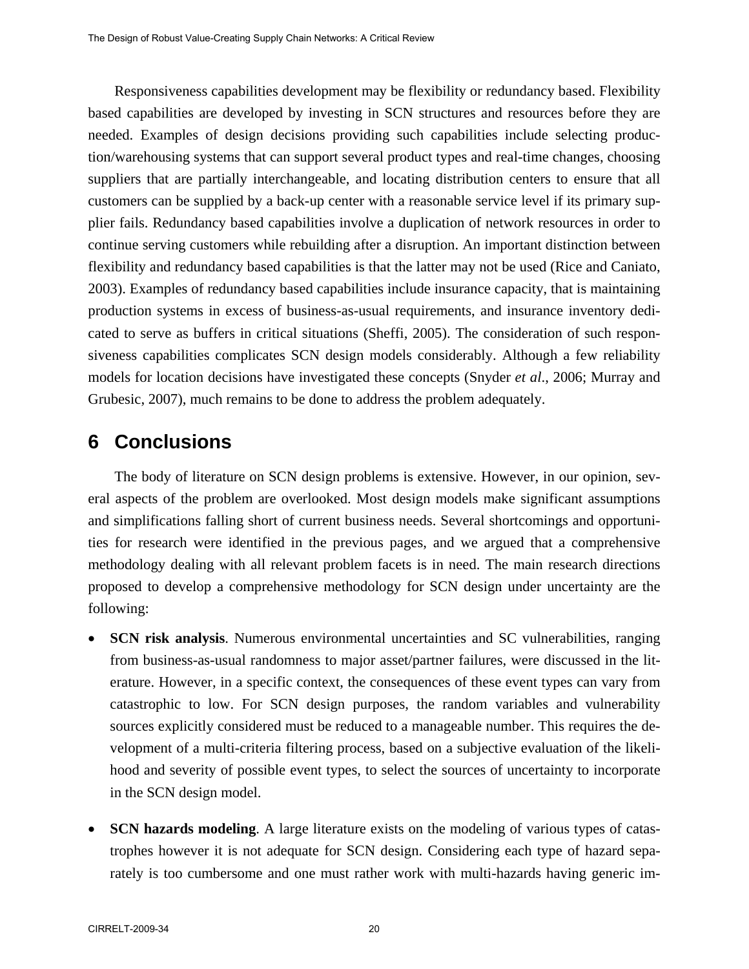Responsiveness capabilities development may be flexibility or redundancy based. Flexibility based capabilities are developed by investing in SCN structures and resources before they are needed. Examples of design decisions providing such capabilities include selecting production/warehousing systems that can support several product types and real-time changes, choosing suppliers that are partially interchangeable, and locating distribution centers to ensure that all customers can be supplied by a back-up center with a reasonable service level if its primary supplier fails. Redundancy based capabilities involve a duplication of network resources in order to continue serving customers while rebuilding after a disruption. An important distinction between flexibility and redundancy based capabilities is that the latter may not be used (Rice and Caniato, 2003). Examples of redundancy based capabilities include insurance capacity, that is maintaining production systems in excess of business-as-usual requirements, and insurance inventory dedicated to serve as buffers in critical situations (Sheffi, 2005). The consideration of such responsiveness capabilities complicates SCN design models considerably. Although a few reliability models for location decisions have investigated these concepts (Snyder *et al*., 2006; Murray and Grubesic, 2007), much remains to be done to address the problem adequately.

## **6 Conclusions**

The body of literature on SCN design problems is extensive. However, in our opinion, several aspects of the problem are overlooked. Most design models make significant assumptions and simplifications falling short of current business needs. Several shortcomings and opportunities for research were identified in the previous pages, and we argued that a comprehensive methodology dealing with all relevant problem facets is in need. The main research directions proposed to develop a comprehensive methodology for SCN design under uncertainty are the following:

- **SCN risk analysis**. Numerous environmental uncertainties and SC vulnerabilities, ranging from business-as-usual randomness to major asset/partner failures, were discussed in the literature. However, in a specific context, the consequences of these event types can vary from catastrophic to low. For SCN design purposes, the random variables and vulnerability sources explicitly considered must be reduced to a manageable number. This requires the development of a multi-criteria filtering process, based on a subjective evaluation of the likelihood and severity of possible event types, to select the sources of uncertainty to incorporate in the SCN design model.
- **SCN hazards modeling**. A large literature exists on the modeling of various types of catastrophes however it is not adequate for SCN design. Considering each type of hazard separately is too cumbersome and one must rather work with multi-hazards having generic im-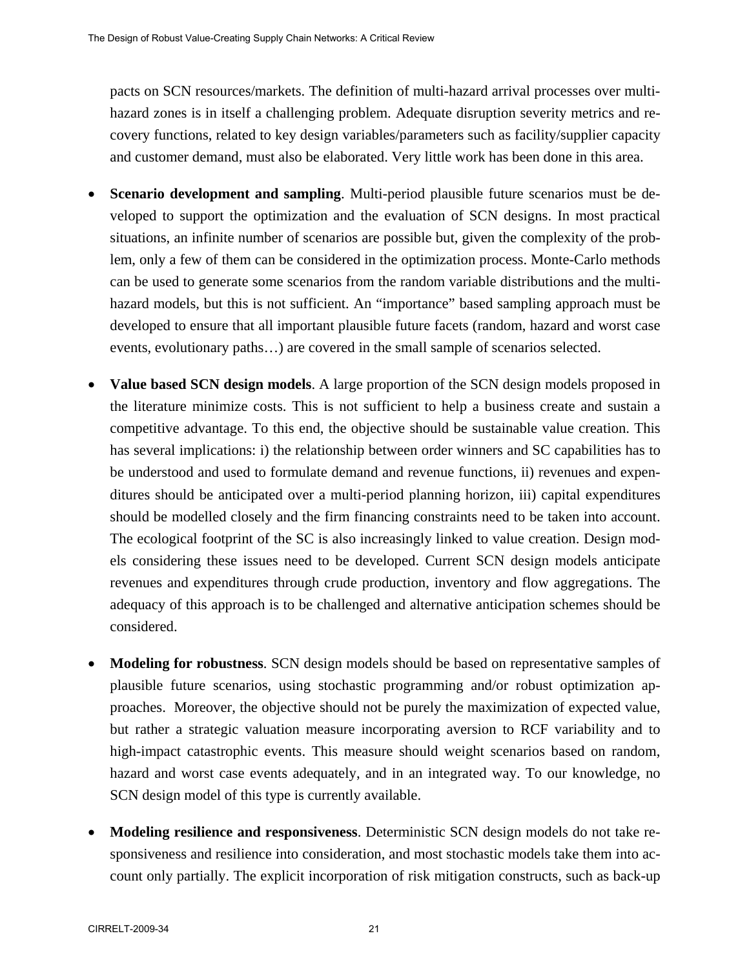pacts on SCN resources/markets. The definition of multi-hazard arrival processes over multihazard zones is in itself a challenging problem. Adequate disruption severity metrics and recovery functions, related to key design variables/parameters such as facility/supplier capacity and customer demand, must also be elaborated. Very little work has been done in this area.

- **Scenario development and sampling**. Multi-period plausible future scenarios must be developed to support the optimization and the evaluation of SCN designs. In most practical situations, an infinite number of scenarios are possible but, given the complexity of the problem, only a few of them can be considered in the optimization process. Monte-Carlo methods can be used to generate some scenarios from the random variable distributions and the multihazard models, but this is not sufficient. An "importance" based sampling approach must be developed to ensure that all important plausible future facets (random, hazard and worst case events, evolutionary paths…) are covered in the small sample of scenarios selected.
- **Value based SCN design models**. A large proportion of the SCN design models proposed in the literature minimize costs. This is not sufficient to help a business create and sustain a competitive advantage. To this end, the objective should be sustainable value creation. This has several implications: i) the relationship between order winners and SC capabilities has to be understood and used to formulate demand and revenue functions, ii) revenues and expenditures should be anticipated over a multi-period planning horizon, iii) capital expenditures should be modelled closely and the firm financing constraints need to be taken into account. The ecological footprint of the SC is also increasingly linked to value creation. Design models considering these issues need to be developed. Current SCN design models anticipate revenues and expenditures through crude production, inventory and flow aggregations. The adequacy of this approach is to be challenged and alternative anticipation schemes should be considered.
- **Modeling for robustness**. SCN design models should be based on representative samples of plausible future scenarios, using stochastic programming and/or robust optimization approaches. Moreover, the objective should not be purely the maximization of expected value, but rather a strategic valuation measure incorporating aversion to RCF variability and to high-impact catastrophic events. This measure should weight scenarios based on random, hazard and worst case events adequately, and in an integrated way. To our knowledge, no SCN design model of this type is currently available.
- **Modeling resilience and responsiveness**. Deterministic SCN design models do not take responsiveness and resilience into consideration, and most stochastic models take them into account only partially. The explicit incorporation of risk mitigation constructs, such as back-up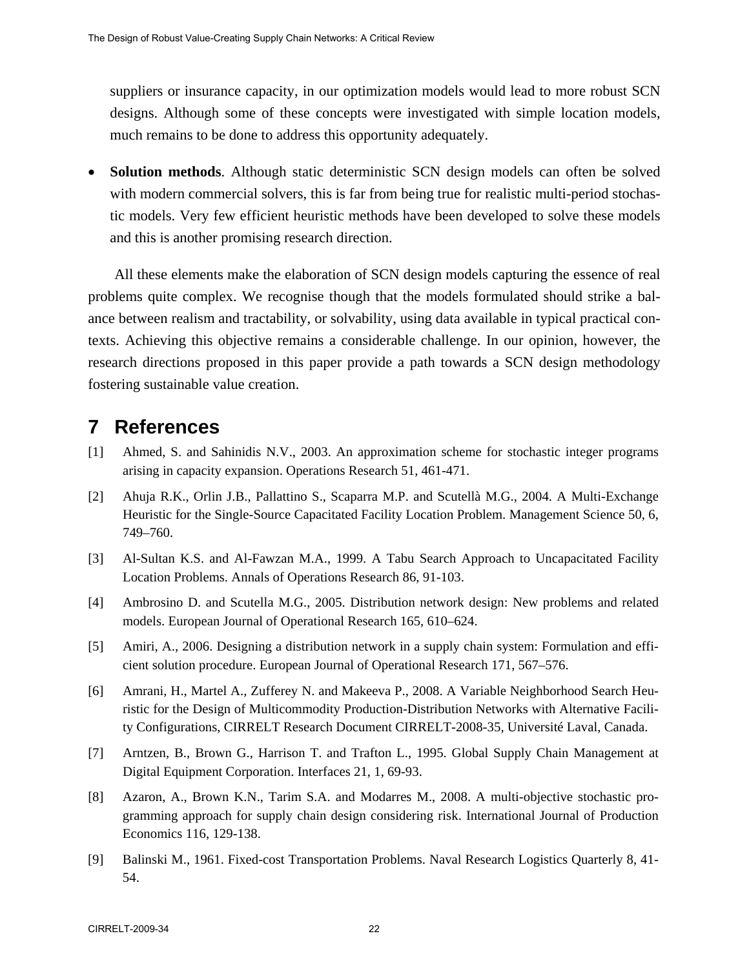suppliers or insurance capacity, in our optimization models would lead to more robust SCN designs. Although some of these concepts were investigated with simple location models, much remains to be done to address this opportunity adequately.

• **Solution methods**. Although static deterministic SCN design models can often be solved with modern commercial solvers, this is far from being true for realistic multi-period stochastic models. Very few efficient heuristic methods have been developed to solve these models and this is another promising research direction.

All these elements make the elaboration of SCN design models capturing the essence of real problems quite complex. We recognise though that the models formulated should strike a balance between realism and tractability, or solvability, using data available in typical practical contexts. Achieving this objective remains a considerable challenge. In our opinion, however, the research directions proposed in this paper provide a path towards a SCN design methodology fostering sustainable value creation.

## **7 References**

- [1] Ahmed, S. and Sahinidis N.V., 2003. An approximation scheme for stochastic integer programs arising in capacity expansion. Operations Research 51, 461-471.
- [2] Ahuja R.K., Orlin J.B., Pallattino S., Scaparra M.P. and Scutellà M.G., 2004. A Multi-Exchange Heuristic for the Single-Source Capacitated Facility Location Problem. Management Science 50, 6, 749–760.
- [3] Al-Sultan K.S. and Al-Fawzan M.A., 1999. A Tabu Search Approach to Uncapacitated Facility Location Problems. Annals of Operations Research 86, 91-103.
- [4] Ambrosino D. and Scutella M.G., 2005. Distribution network design: New problems and related models. European Journal of Operational Research 165, 610–624.
- [5] Amiri, A., 2006. Designing a distribution network in a supply chain system: Formulation and efficient solution procedure. European Journal of Operational Research 171, 567–576.
- [6] Amrani, H., Martel A., Zufferey N. and Makeeva P., 2008. A Variable Neighborhood Search Heuristic for the Design of Multicommodity Production-Distribution Networks with Alternative Facility Configurations, CIRRELT Research Document CIRRELT-2008-35, Université Laval, Canada.
- [7] Arntzen, B., Brown G., Harrison T. and Trafton L., 1995. Global Supply Chain Management at Digital Equipment Corporation. Interfaces 21, 1, 69-93.
- [8] Azaron, A., Brown K.N., Tarim S.A. and Modarres M., 2008. A multi-objective stochastic programming approach for supply chain design considering risk. International Journal of Production Economics 116, 129-138.
- [9] Balinski M., 1961. Fixed-cost Transportation Problems. Naval Research Logistics Quarterly 8, 41- 54.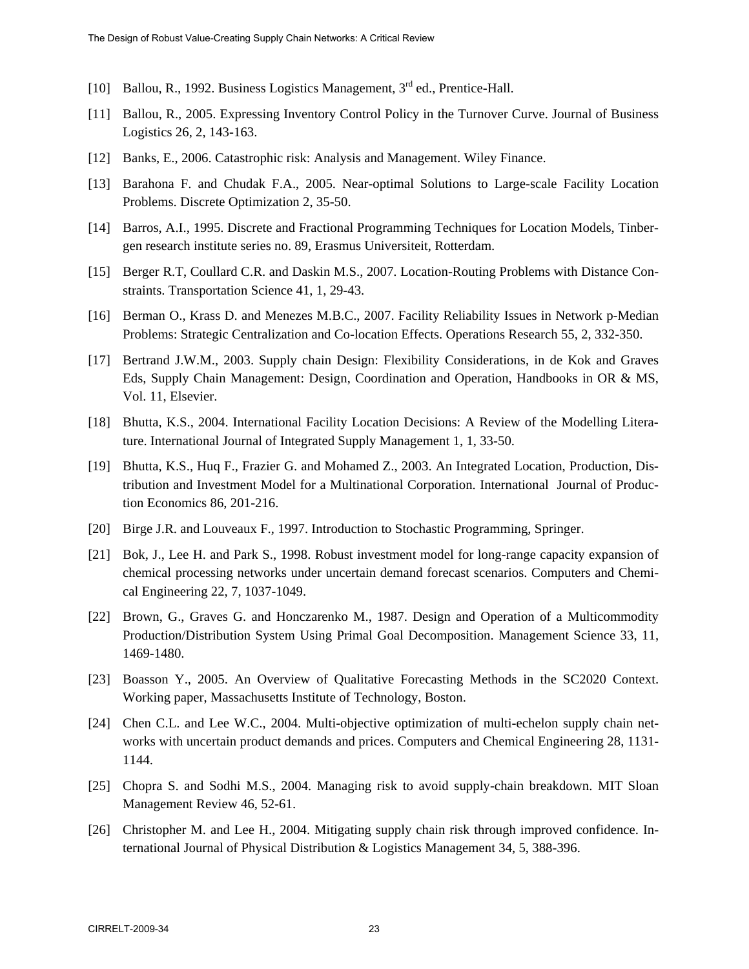- [10] Ballou, R., 1992. Business Logistics Management, 3<sup>rd</sup> ed., Prentice-Hall.
- [11] Ballou, R., 2005. Expressing Inventory Control Policy in the Turnover Curve. Journal of Business Logistics 26, 2, 143-163.
- [12] Banks, E., 2006. Catastrophic risk: Analysis and Management. Wiley Finance.
- [13] Barahona F. and Chudak F.A., 2005. Near-optimal Solutions to Large-scale Facility Location Problems. Discrete Optimization 2, 35-50.
- [14] Barros, A.I., 1995. Discrete and Fractional Programming Techniques for Location Models, Tinbergen research institute series no. 89, Erasmus Universiteit, Rotterdam.
- [15] Berger R.T, Coullard C.R. and Daskin M.S., 2007. Location-Routing Problems with Distance Constraints. Transportation Science 41, 1, 29-43.
- [16] Berman O., Krass D. and Menezes M.B.C., 2007. Facility Reliability Issues in Network p-Median Problems: Strategic Centralization and Co-location Effects. Operations Research 55, 2, 332-350.
- [17] Bertrand J.W.M., 2003. Supply chain Design: Flexibility Considerations, in de Kok and Graves Eds, Supply Chain Management: Design, Coordination and Operation, Handbooks in OR & MS, Vol. 11, Elsevier.
- [18] Bhutta, K.S., 2004. International Facility Location Decisions: A Review of the Modelling Literature. International Journal of Integrated Supply Management 1, 1, 33-50.
- [19] Bhutta, K.S., Huq F., Frazier G. and Mohamed Z., 2003. An Integrated Location, Production, Distribution and Investment Model for a Multinational Corporation. International Journal of Production Economics 86, 201-216.
- [20] Birge J.R. and Louveaux F., 1997. Introduction to Stochastic Programming, Springer.
- [21] Bok, J., Lee H. and Park S., 1998. Robust investment model for long-range capacity expansion of chemical processing networks under uncertain demand forecast scenarios. Computers and Chemical Engineering 22, 7, 1037-1049.
- [22] Brown, G., Graves G. and Honczarenko M., 1987. Design and Operation of a Multicommodity Production/Distribution System Using Primal Goal Decomposition. Management Science 33, 11, 1469-1480.
- [23] Boasson Y., 2005. An Overview of Qualitative Forecasting Methods in the SC2020 Context. Working paper, Massachusetts Institute of Technology, Boston.
- [24] Chen C.L. and Lee W.C., 2004. Multi-objective optimization of multi-echelon supply chain networks with uncertain product demands and prices. Computers and Chemical Engineering 28, 1131- 1144.
- [25] Chopra S. and Sodhi M.S., 2004. Managing risk to avoid supply-chain breakdown. MIT Sloan Management Review 46, 52-61.
- [26] Christopher M. and Lee H., 2004. Mitigating supply chain risk through improved confidence. International Journal of Physical Distribution & Logistics Management 34, 5, 388-396.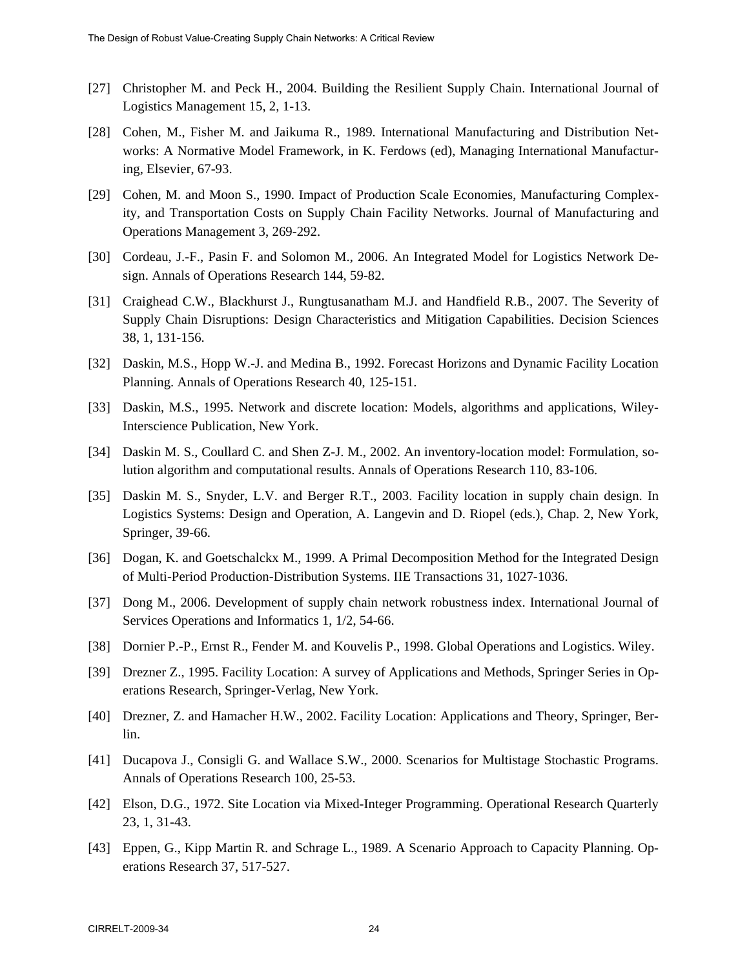- [27] Christopher M. and Peck H., 2004. Building the Resilient Supply Chain. International Journal of Logistics Management 15, 2, 1-13.
- [28] Cohen, M., Fisher M. and Jaikuma R., 1989. International Manufacturing and Distribution Networks: A Normative Model Framework, in K. Ferdows (ed), Managing International Manufacturing, Elsevier, 67-93.
- [29] Cohen, M. and Moon S., 1990. Impact of Production Scale Economies, Manufacturing Complexity, and Transportation Costs on Supply Chain Facility Networks. Journal of Manufacturing and Operations Management 3, 269-292.
- [30] Cordeau, J.-F., Pasin F. and Solomon M., 2006. An Integrated Model for Logistics Network Design. Annals of Operations Research 144, 59-82.
- [31] Craighead C.W., Blackhurst J., Rungtusanatham M.J. and Handfield R.B., 2007. The Severity of Supply Chain Disruptions: Design Characteristics and Mitigation Capabilities. Decision Sciences 38, 1, 131-156.
- [32] Daskin, M.S., Hopp W.-J. and Medina B., 1992. Forecast Horizons and Dynamic Facility Location Planning. Annals of Operations Research 40, 125-151.
- [33] Daskin, M.S., 1995. Network and discrete location: Models, algorithms and applications, Wiley-Interscience Publication, New York.
- [34] Daskin M. S., Coullard C. and Shen Z-J. M., 2002. An inventory-location model: Formulation, solution algorithm and computational results. Annals of Operations Research 110, 83-106.
- [35] Daskin M. S., Snyder, L.V. and Berger R.T., 2003. Facility location in supply chain design. In Logistics Systems: Design and Operation, A. Langevin and D. Riopel (eds.), Chap. 2, New York, Springer, 39-66.
- [36] Dogan, K. and Goetschalckx M., 1999. A Primal Decomposition Method for the Integrated Design of Multi-Period Production-Distribution Systems. IIE Transactions 31, 1027-1036.
- [37] Dong M., 2006. Development of supply chain network robustness index. International Journal of Services Operations and Informatics 1, 1/2, 54-66.
- [38] Dornier P.-P., Ernst R., Fender M. and Kouvelis P., 1998. Global Operations and Logistics. Wiley.
- [39] Drezner Z., 1995. Facility Location: A survey of Applications and Methods, Springer Series in Operations Research, Springer-Verlag, New York.
- [40] Drezner, Z. and Hamacher H.W., 2002. Facility Location: Applications and Theory, Springer, Berlin.
- [41] Ducapova J., Consigli G. and Wallace S.W., 2000. Scenarios for Multistage Stochastic Programs. Annals of Operations Research 100, 25-53.
- [42] Elson, D.G., 1972. Site Location via Mixed-Integer Programming. Operational Research Quarterly 23, 1, 31-43.
- [43] Eppen, G., Kipp Martin R. and Schrage L., 1989. A Scenario Approach to Capacity Planning. Operations Research 37, 517-527.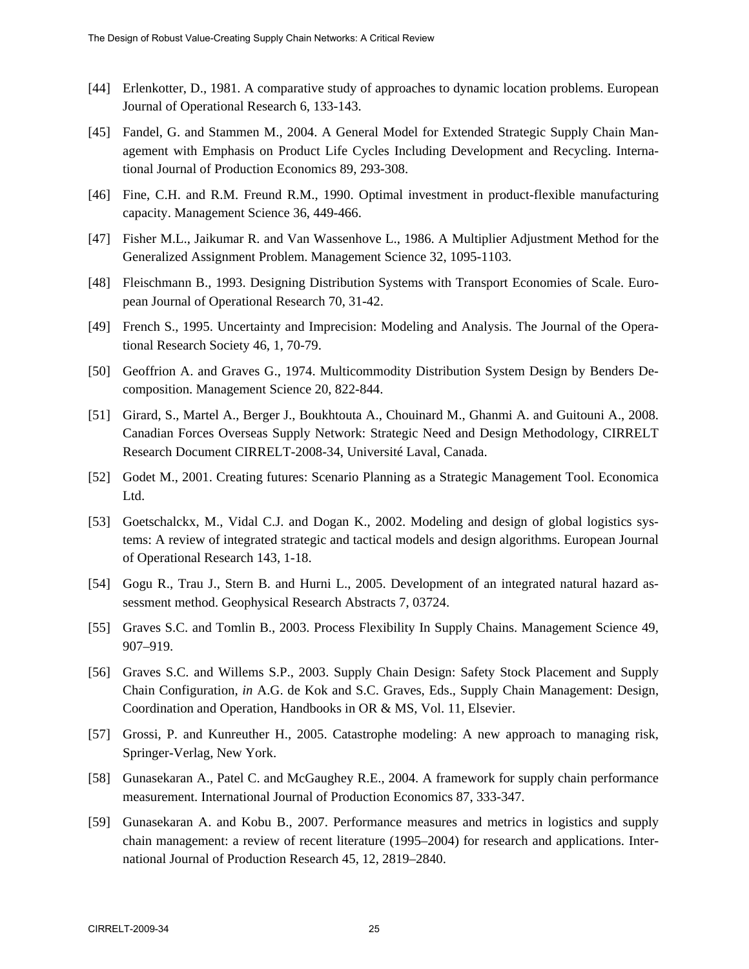- [44] Erlenkotter, D., 1981. A comparative study of approaches to dynamic location problems. European Journal of Operational Research 6, 133-143.
- [45] Fandel, G. and Stammen M., 2004. A General Model for Extended Strategic Supply Chain Management with Emphasis on Product Life Cycles Including Development and Recycling. International Journal of Production Economics 89, 293-308.
- [46] Fine, C.H. and R.M. Freund R.M., 1990. Optimal investment in product-flexible manufacturing capacity. Management Science 36, 449-466.
- [47] Fisher M.L., Jaikumar R. and Van Wassenhove L., 1986. A Multiplier Adjustment Method for the Generalized Assignment Problem. Management Science 32, 1095-1103.
- [48] Fleischmann B., 1993. Designing Distribution Systems with Transport Economies of Scale. European Journal of Operational Research 70, 31-42.
- [49] French S., 1995. Uncertainty and Imprecision: Modeling and Analysis. The Journal of the Operational Research Society 46, 1, 70-79.
- [50] Geoffrion A. and Graves G., 1974. Multicommodity Distribution System Design by Benders Decomposition. Management Science 20, 822-844.
- [51] Girard, S., Martel A., Berger J., Boukhtouta A., Chouinard M., Ghanmi A. and Guitouni A., 2008. Canadian Forces Overseas Supply Network: Strategic Need and Design Methodology, CIRRELT Research Document CIRRELT-2008-34, Université Laval, Canada.
- [52] Godet M., 2001. Creating futures: Scenario Planning as a Strategic Management Tool. Economica Ltd.
- [53] Goetschalckx, M., Vidal C.J. and Dogan K., 2002. Modeling and design of global logistics systems: A review of integrated strategic and tactical models and design algorithms. European Journal of Operational Research 143, 1-18.
- [54] Gogu R., Trau J., Stern B. and Hurni L., 2005. Development of an integrated natural hazard assessment method. Geophysical Research Abstracts 7, 03724.
- [55] Graves S.C. and Tomlin B., 2003. Process Flexibility In Supply Chains. Management Science 49, 907–919.
- [56] Graves S.C. and Willems S.P., 2003. Supply Chain Design: Safety Stock Placement and Supply Chain Configuration, *in* A.G. de Kok and S.C. Graves, Eds., Supply Chain Management: Design, Coordination and Operation, Handbooks in OR & MS, Vol. 11, Elsevier.
- [57] Grossi, P. and Kunreuther H., 2005. Catastrophe modeling: A new approach to managing risk, Springer-Verlag, New York.
- [58] Gunasekaran A., Patel C. and McGaughey R.E., 2004. A framework for supply chain performance measurement. International Journal of Production Economics 87, 333-347.
- [59] Gunasekaran A. and Kobu B., 2007. Performance measures and metrics in logistics and supply chain management: a review of recent literature (1995–2004) for research and applications. International Journal of Production Research 45, 12, 2819–2840.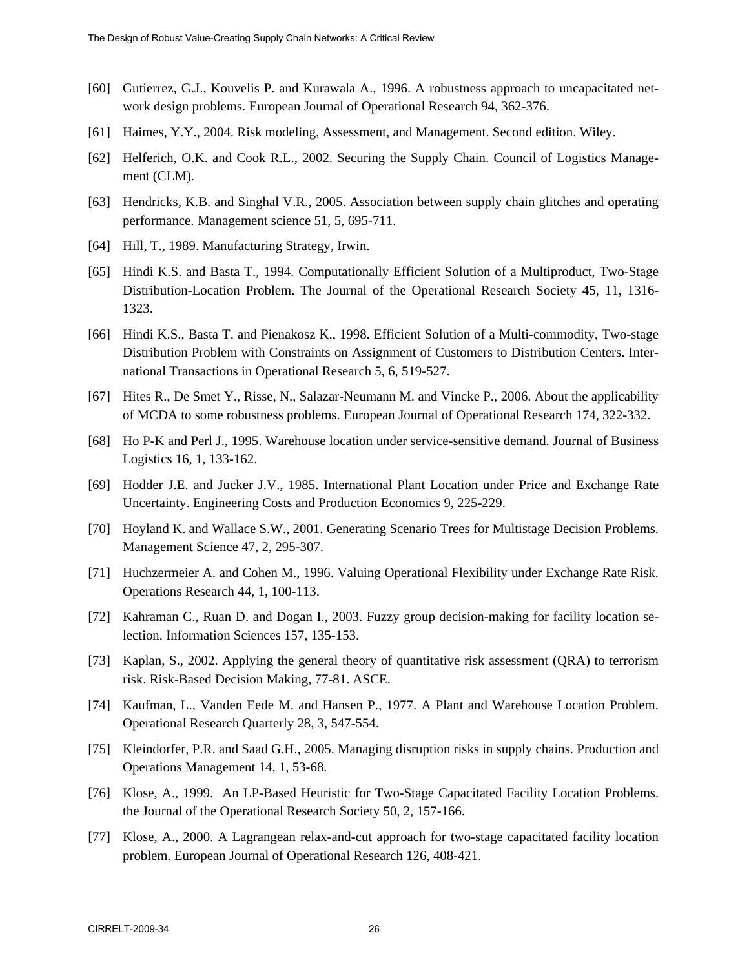- [60] Gutierrez, G.J., Kouvelis P. and Kurawala A., 1996. A robustness approach to uncapacitated network design problems. European Journal of Operational Research 94, 362-376.
- [61] Haimes, Y.Y., 2004. Risk modeling, Assessment, and Management. Second edition. Wiley.
- [62] Helferich, O.K. and Cook R.L., 2002. Securing the Supply Chain. Council of Logistics Management (CLM).
- [63] Hendricks, K.B. and Singhal V.R., 2005. Association between supply chain glitches and operating performance. Management science 51, 5, 695-711.
- [64] Hill, T., 1989. Manufacturing Strategy, Irwin.
- [65] Hindi K.S. and Basta T., 1994. Computationally Efficient Solution of a Multiproduct, Two-Stage Distribution-Location Problem. The Journal of the Operational Research Society 45, 11, 1316- 1323.
- [66] Hindi K.S., Basta T. and Pienakosz K., 1998. Efficient Solution of a Multi-commodity, Two-stage Distribution Problem with Constraints on Assignment of Customers to Distribution Centers. International Transactions in Operational Research 5, 6, 519-527.
- [67] Hites R., De Smet Y., Risse, N., Salazar-Neumann M. and Vincke P., 2006. About the applicability of MCDA to some robustness problems. European Journal of Operational Research 174, 322-332.
- [68] Ho P-K and Perl J., 1995. Warehouse location under service-sensitive demand. Journal of Business Logistics 16, 1, 133-162.
- [69] Hodder J.E. and Jucker J.V., 1985. International Plant Location under Price and Exchange Rate Uncertainty. Engineering Costs and Production Economics 9, 225-229.
- [70] Hoyland K. and Wallace S.W., 2001. Generating Scenario Trees for Multistage Decision Problems. Management Science 47, 2, 295-307.
- [71] Huchzermeier A. and Cohen M., 1996. Valuing Operational Flexibility under Exchange Rate Risk. Operations Research 44, 1, 100-113.
- [72] Kahraman C., Ruan D. and Dogan I., 2003. Fuzzy group decision-making for facility location selection. Information Sciences 157, 135-153.
- [73] Kaplan, S., 2002. Applying the general theory of quantitative risk assessment (QRA) to terrorism risk. Risk-Based Decision Making, 77-81. ASCE.
- [74] Kaufman, L., Vanden Eede M. and Hansen P., 1977. A Plant and Warehouse Location Problem. Operational Research Quarterly 28, 3, 547-554.
- [75] Kleindorfer, P.R. and Saad G.H., 2005. Managing disruption risks in supply chains. Production and Operations Management 14, 1, 53-68.
- [76] Klose, A., 1999. An LP-Based Heuristic for Two-Stage Capacitated Facility Location Problems. the Journal of the Operational Research Society 50, 2, 157-166.
- [77] Klose, A., 2000. A Lagrangean relax-and-cut approach for two-stage capacitated facility location problem. European Journal of Operational Research 126, 408-421.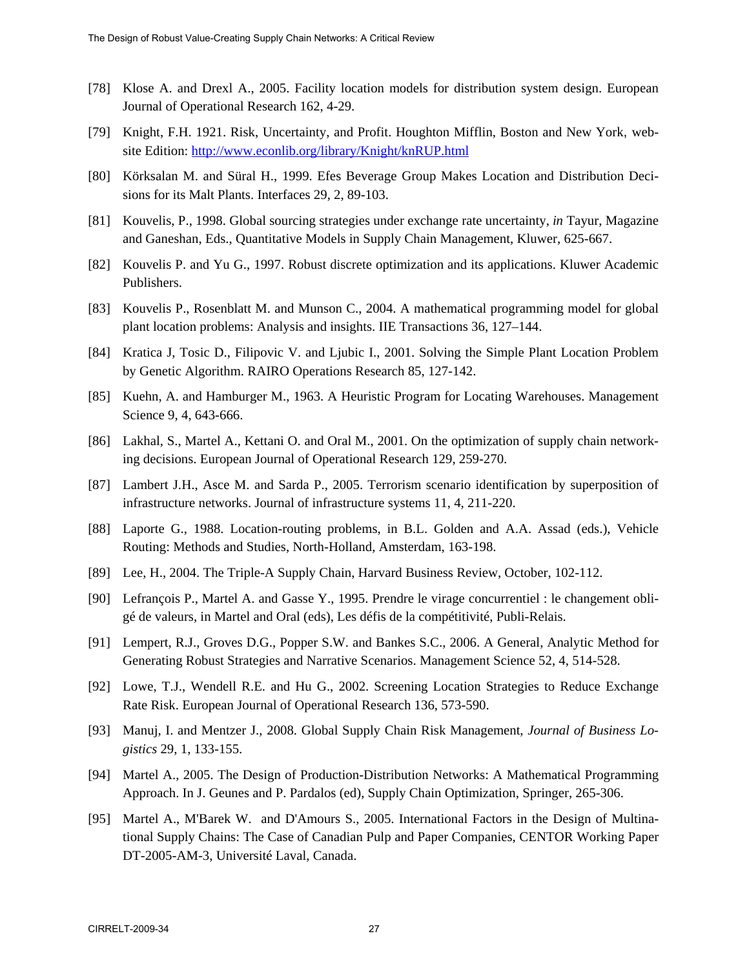- [78] Klose A. and Drexl A., 2005. Facility location models for distribution system design. European Journal of Operational Research 162, 4-29.
- [79] Knight, F.H. 1921. Risk, Uncertainty, and Profit. Houghton Mifflin, Boston and New York, website Edition: http://www.econlib.org/library/Knight/knRUP.html
- [80] Körksalan M. and Süral H., 1999. Efes Beverage Group Makes Location and Distribution Decisions for its Malt Plants. Interfaces 29, 2, 89-103.
- [81] Kouvelis, P., 1998. Global sourcing strategies under exchange rate uncertainty, *in* Tayur, Magazine and Ganeshan, Eds., Quantitative Models in Supply Chain Management, Kluwer, 625-667.
- [82] Kouvelis P. and Yu G., 1997. Robust discrete optimization and its applications. Kluwer Academic Publishers.
- [83] Kouvelis P., Rosenblatt M. and Munson C., 2004. A mathematical programming model for global plant location problems: Analysis and insights. IIE Transactions 36, 127–144.
- [84] Kratica J, Tosic D., Filipovic V. and Ljubic I., 2001. Solving the Simple Plant Location Problem by Genetic Algorithm. RAIRO Operations Research 85, 127-142.
- [85] Kuehn, A. and Hamburger M., 1963. A Heuristic Program for Locating Warehouses. Management Science 9, 4, 643-666.
- [86] Lakhal, S., Martel A., Kettani O. and Oral M., 2001. On the optimization of supply chain networking decisions. European Journal of Operational Research 129, 259-270.
- [87] Lambert J.H., Asce M. and Sarda P., 2005. Terrorism scenario identification by superposition of infrastructure networks. Journal of infrastructure systems 11, 4, 211-220.
- [88] Laporte G., 1988. Location-routing problems, in B.L. Golden and A.A. Assad (eds.), Vehicle Routing: Methods and Studies, North-Holland, Amsterdam, 163-198.
- [89] Lee, H., 2004. The Triple-A Supply Chain, Harvard Business Review, October, 102-112.
- [90] Lefrançois P., Martel A. and Gasse Y., 1995. Prendre le virage concurrentiel : le changement obligé de valeurs, in Martel and Oral (eds), Les défis de la compétitivité, Publi-Relais.
- [91] Lempert, R.J., Groves D.G., Popper S.W. and Bankes S.C., 2006. A General, Analytic Method for Generating Robust Strategies and Narrative Scenarios. Management Science 52, 4, 514-528.
- [92] Lowe, T.J., Wendell R.E. and Hu G., 2002. Screening Location Strategies to Reduce Exchange Rate Risk. European Journal of Operational Research 136, 573-590.
- [93] Manuj, I. and Mentzer J., 2008. Global Supply Chain Risk Management*, Journal of Business Logistics* 29, 1, 133-155.
- [94] Martel A., 2005. The Design of Production-Distribution Networks: A Mathematical Programming Approach. In J. Geunes and P. Pardalos (ed), Supply Chain Optimization, Springer, 265-306.
- [95] Martel A., M'Barek W. and D'Amours S., 2005. International Factors in the Design of Multinational Supply Chains: The Case of Canadian Pulp and Paper Companies, CENTOR Working Paper DT-2005-AM-3, Université Laval, Canada.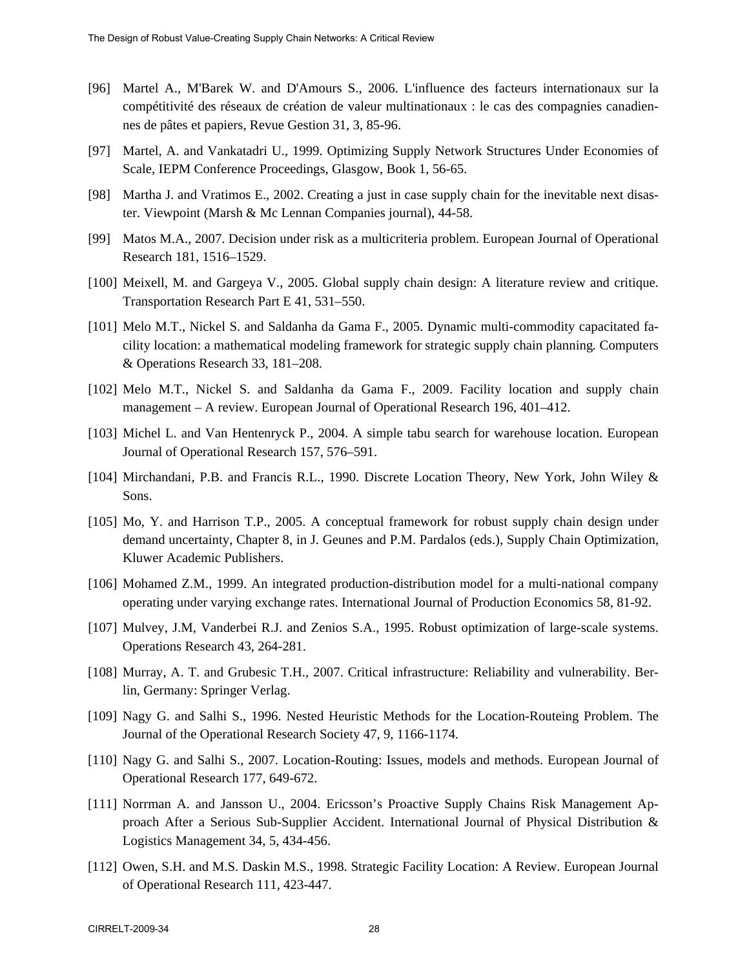- [96] Martel A., M'Barek W. and D'Amours S., 2006. L'influence des facteurs internationaux sur la compétitivité des réseaux de création de valeur multinationaux : le cas des compagnies canadiennes de pâtes et papiers, Revue Gestion 31, 3, 85-96.
- [97] Martel, A. and Vankatadri U., 1999. Optimizing Supply Network Structures Under Economies of Scale, IEPM Conference Proceedings, Glasgow, Book 1, 56-65.
- [98] Martha J. and Vratimos E., 2002. Creating a just in case supply chain for the inevitable next disaster. Viewpoint (Marsh & Mc Lennan Companies journal), 44-58.
- [99] Matos M.A., 2007. Decision under risk as a multicriteria problem. European Journal of Operational Research 181, 1516–1529.
- [100] Meixell, M. and Gargeya V., 2005. Global supply chain design: A literature review and critique. Transportation Research Part E 41, 531–550.
- [101] Melo M.T., Nickel S. and Saldanha da Gama F., 2005. Dynamic multi-commodity capacitated facility location: a mathematical modeling framework for strategic supply chain planning*.* Computers & Operations Research 33, 181–208.
- [102] Melo M.T., Nickel S. and Saldanha da Gama F., 2009. Facility location and supply chain management – A review. European Journal of Operational Research 196, 401–412.
- [103] Michel L. and Van Hentenryck P., 2004. A simple tabu search for warehouse location. European Journal of Operational Research 157, 576–591.
- [104] Mirchandani, P.B. and Francis R.L., 1990. Discrete Location Theory, New York, John Wiley & Sons.
- [105] Mo, Y. and Harrison T.P., 2005. A conceptual framework for robust supply chain design under demand uncertainty, Chapter 8, in J. Geunes and P.M. Pardalos (eds.), Supply Chain Optimization, Kluwer Academic Publishers.
- [106] Mohamed Z.M., 1999. An integrated production-distribution model for a multi-national company operating under varying exchange rates. International Journal of Production Economics 58, 81-92.
- [107] Mulvey, J.M, Vanderbei R.J. and Zenios S.A., 1995. Robust optimization of large-scale systems. Operations Research 43, 264-281.
- [108] Murray, A. T. and Grubesic T.H., 2007. Critical infrastructure: Reliability and vulnerability. Berlin, Germany: Springer Verlag.
- [109] Nagy G. and Salhi S., 1996. Nested Heuristic Methods for the Location-Routeing Problem. The Journal of the Operational Research Society 47, 9, 1166-1174.
- [110] Nagy G. and Salhi S., 2007. Location-Routing: Issues, models and methods. European Journal of Operational Research 177, 649-672.
- [111] Norrman A. and Jansson U., 2004. Ericsson's Proactive Supply Chains Risk Management Approach After a Serious Sub-Supplier Accident. International Journal of Physical Distribution & Logistics Management 34, 5, 434-456.
- [112] Owen, S.H. and M.S. Daskin M.S., 1998. Strategic Facility Location: A Review. European Journal of Operational Research 111, 423-447.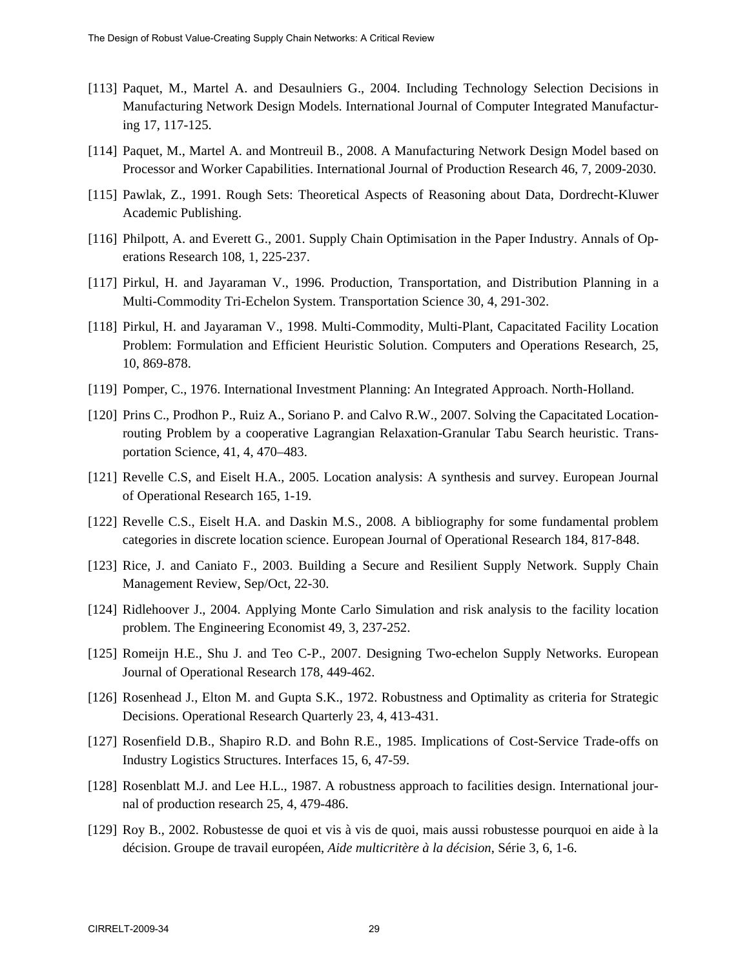- [113] Paquet, M., Martel A. and Desaulniers G., 2004. Including Technology Selection Decisions in Manufacturing Network Design Models. International Journal of Computer Integrated Manufacturing 17, 117-125.
- [114] Paquet, M., Martel A. and Montreuil B., 2008. A Manufacturing Network Design Model based on Processor and Worker Capabilities. International Journal of Production Research 46, 7, 2009-2030.
- [115] Pawlak, Z., 1991. Rough Sets: Theoretical Aspects of Reasoning about Data, Dordrecht-Kluwer Academic Publishing.
- [116] Philpott, A. and Everett G., 2001. Supply Chain Optimisation in the Paper Industry. Annals of Operations Research 108, 1, 225-237.
- [117] Pirkul, H. and Jayaraman V., 1996. Production, Transportation, and Distribution Planning in a Multi-Commodity Tri-Echelon System. Transportation Science 30, 4, 291-302.
- [118] Pirkul, H. and Jayaraman V., 1998. Multi-Commodity, Multi-Plant, Capacitated Facility Location Problem: Formulation and Efficient Heuristic Solution. Computers and Operations Research, 25, 10, 869-878.
- [119] Pomper, C., 1976. International Investment Planning: An Integrated Approach. North-Holland.
- [120] Prins C., Prodhon P., Ruiz A., Soriano P. and Calvo R.W., 2007. Solving the Capacitated Locationrouting Problem by a cooperative Lagrangian Relaxation-Granular Tabu Search heuristic. Transportation Science, 41, 4, 470–483.
- [121] Revelle C.S, and Eiselt H.A., 2005. Location analysis: A synthesis and survey. European Journal of Operational Research 165, 1-19.
- [122] Revelle C.S., Eiselt H.A. and Daskin M.S., 2008. A bibliography for some fundamental problem categories in discrete location science. European Journal of Operational Research 184, 817-848.
- [123] Rice, J. and Caniato F., 2003. Building a Secure and Resilient Supply Network. Supply Chain Management Review, Sep/Oct, 22-30.
- [124] Ridlehoover J., 2004. Applying Monte Carlo Simulation and risk analysis to the facility location problem. The Engineering Economist 49, 3, 237-252.
- [125] Romeijn H.E., Shu J. and Teo C-P., 2007. Designing Two-echelon Supply Networks. European Journal of Operational Research 178, 449-462.
- [126] Rosenhead J., Elton M. and Gupta S.K., 1972. Robustness and Optimality as criteria for Strategic Decisions. Operational Research Quarterly 23, 4, 413-431.
- [127] Rosenfield D.B., Shapiro R.D. and Bohn R.E., 1985. Implications of Cost-Service Trade-offs on Industry Logistics Structures. Interfaces 15, 6, 47-59.
- [128] Rosenblatt M.J. and Lee H.L., 1987. A robustness approach to facilities design. International journal of production research 25, 4, 479-486.
- [129] Roy B., 2002. Robustesse de quoi et vis à vis de quoi, mais aussi robustesse pourquoi en aide à la décision. Groupe de travail européen, *Aide multicritère à la décision*, Série 3, 6, 1-6.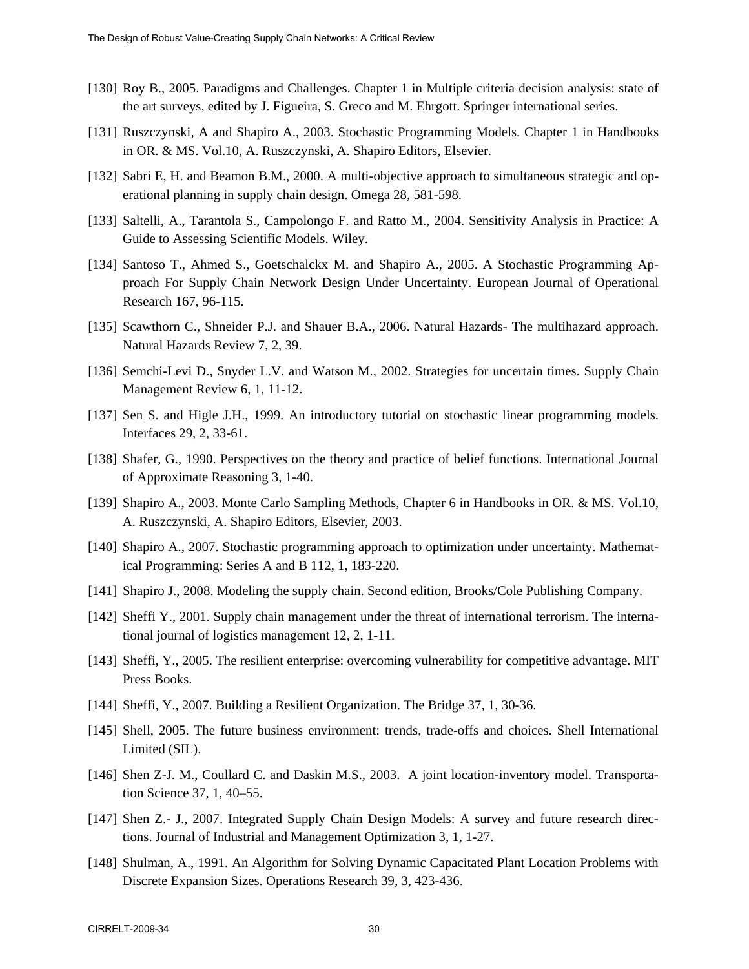- [130] Roy B., 2005. Paradigms and Challenges. Chapter 1 in Multiple criteria decision analysis: state of the art surveys, edited by J. Figueira, S. Greco and M. Ehrgott. Springer international series.
- [131] Ruszczynski, A and Shapiro A., 2003. Stochastic Programming Models. Chapter 1 in Handbooks in OR. & MS. Vol.10, A. Ruszczynski, A. Shapiro Editors, Elsevier.
- [132] Sabri E, H. and Beamon B.M., 2000. A multi-objective approach to simultaneous strategic and operational planning in supply chain design. Omega 28, 581-598.
- [133] Saltelli, A., Tarantola S., Campolongo F. and Ratto M., 2004. Sensitivity Analysis in Practice: A Guide to Assessing Scientific Models. Wiley.
- [134] Santoso T., Ahmed S., Goetschalckx M. and Shapiro A., 2005. A Stochastic Programming Approach For Supply Chain Network Design Under Uncertainty. European Journal of Operational Research 167, 96-115.
- [135] Scawthorn C., Shneider P.J. and Shauer B.A., 2006. Natural Hazards- The multihazard approach. Natural Hazards Review 7, 2, 39.
- [136] Semchi-Levi D., Snyder L.V. and Watson M., 2002. Strategies for uncertain times. Supply Chain Management Review 6, 1, 11-12.
- [137] Sen S. and Higle J.H., 1999. An introductory tutorial on stochastic linear programming models. Interfaces 29, 2, 33-61.
- [138] Shafer, G., 1990. Perspectives on the theory and practice of belief functions. International Journal of Approximate Reasoning 3, 1-40.
- [139] Shapiro A., 2003. Monte Carlo Sampling Methods, Chapter 6 in Handbooks in OR. & MS. Vol.10, A. Ruszczynski, A. Shapiro Editors, Elsevier, 2003.
- [140] Shapiro A., 2007. Stochastic programming approach to optimization under uncertainty. Mathematical Programming: Series A and B 112, 1, 183-220.
- [141] Shapiro J., 2008. Modeling the supply chain. Second edition, Brooks/Cole Publishing Company.
- [142] Sheffi Y., 2001. Supply chain management under the threat of international terrorism. The international journal of logistics management 12, 2, 1-11.
- [143] Sheffi, Y., 2005. The resilient enterprise: overcoming vulnerability for competitive advantage. MIT Press Books.
- [144] Sheffi, Y., 2007. Building a Resilient Organization. The Bridge 37, 1, 30-36.
- [145] Shell, 2005. The future business environment: trends, trade-offs and choices. Shell International Limited (SIL).
- [146] Shen Z-J. M., Coullard C. and Daskin M.S., 2003. A joint location-inventory model. Transportation Science 37, 1, 40–55.
- [147] Shen Z.- J., 2007. Integrated Supply Chain Design Models: A survey and future research directions. Journal of Industrial and Management Optimization 3, 1, 1-27.
- [148] Shulman, A., 1991. An Algorithm for Solving Dynamic Capacitated Plant Location Problems with Discrete Expansion Sizes. Operations Research 39, 3, 423-436.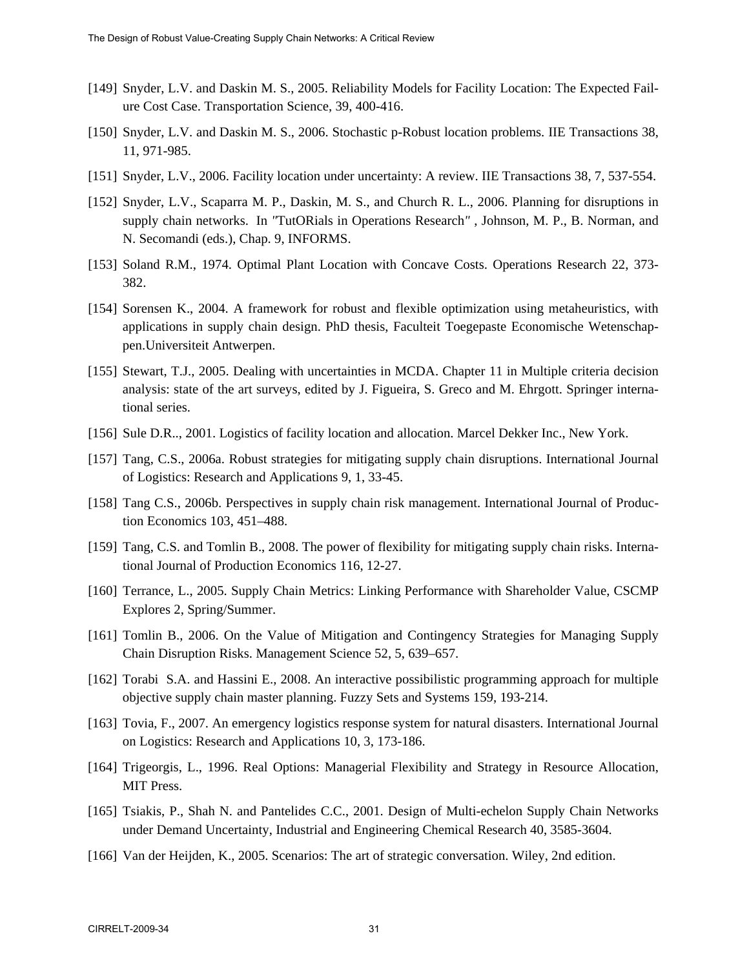- [149] Snyder, L.V. and Daskin M. S., 2005. Reliability Models for Facility Location: The Expected Failure Cost Case. Transportation Science, 39, 400-416.
- [150] Snyder, L.V. and Daskin M. S., 2006. Stochastic p-Robust location problems. IIE Transactions 38, 11, 971-985.
- [151] Snyder, L.V., 2006. Facility location under uncertainty: A review. IIE Transactions 38, 7, 537-554.
- [152] Snyder, L.V., Scaparra M. P., Daskin, M. S., and Church R. L., 2006. Planning for disruptions in supply chain networks. In *"*TutORials in Operations Research*"* , Johnson, M. P., B. Norman, and N. Secomandi (eds.), Chap. 9, INFORMS.
- [153] Soland R.M., 1974. Optimal Plant Location with Concave Costs. Operations Research 22, 373-382.
- [154] Sorensen K., 2004. A framework for robust and flexible optimization using metaheuristics, with applications in supply chain design. PhD thesis, Faculteit Toegepaste Economische Wetenschappen.Universiteit Antwerpen.
- [155] Stewart, T.J., 2005. Dealing with uncertainties in MCDA. Chapter 11 in Multiple criteria decision analysis: state of the art surveys, edited by J. Figueira, S. Greco and M. Ehrgott. Springer international series.
- [156] Sule D.R.., 2001. Logistics of facility location and allocation. Marcel Dekker Inc., New York.
- [157] Tang, C.S., 2006a. Robust strategies for mitigating supply chain disruptions. International Journal of Logistics: Research and Applications 9, 1, 33-45.
- [158] Tang C.S., 2006b. Perspectives in supply chain risk management. International Journal of Production Economics 103, 451–488.
- [159] Tang, C.S. and Tomlin B., 2008. The power of flexibility for mitigating supply chain risks. International Journal of Production Economics 116, 12-27.
- [160] Terrance, L., 2005. Supply Chain Metrics: Linking Performance with Shareholder Value, CSCMP Explores 2, Spring/Summer.
- [161] Tomlin B., 2006. On the Value of Mitigation and Contingency Strategies for Managing Supply Chain Disruption Risks. Management Science 52, 5, 639–657.
- [162] Torabi S.A. and Hassini E., 2008. An interactive possibilistic programming approach for multiple objective supply chain master planning. Fuzzy Sets and Systems 159, 193-214.
- [163] Tovia, F., 2007. An emergency logistics response system for natural disasters. International Journal on Logistics: Research and Applications 10, 3, 173-186.
- [164] Trigeorgis, L., 1996. Real Options: Managerial Flexibility and Strategy in Resource Allocation, MIT Press.
- [165] Tsiakis, P., Shah N. and Pantelides C.C., 2001. Design of Multi-echelon Supply Chain Networks under Demand Uncertainty, Industrial and Engineering Chemical Research 40, 3585-3604.
- [166] Van der Heijden, K., 2005. Scenarios: The art of strategic conversation. Wiley, 2nd edition.